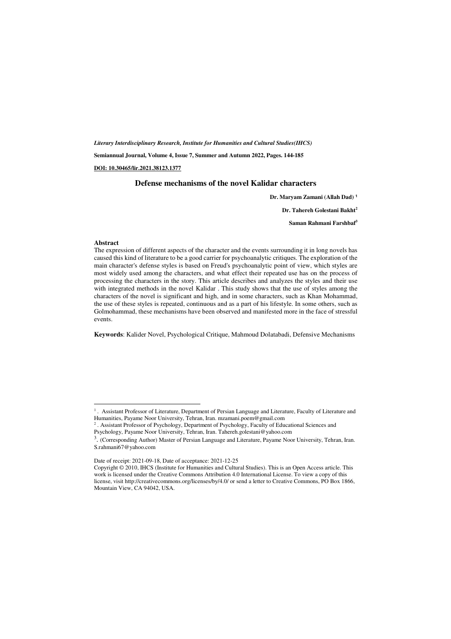*Literary Interdisciplinary Research, Institute for Humanities and Cultural Studies(IHCS)* 

**Semiannual Journal, Volume 4, Issue 7, Summer and Autumn 2022, Pages. 144-185** 

**DOI: 10.30465/lir.2021.38123.1377** 

#### **Defense mechanisms of the novel Kalidar characters**

**Dr. Maryam Zamani (Allah Dad) <sup>1</sup>**

**Dr. Tahereh Golestani Bakht<sup>2</sup>**

**Saman Rahmani Farshbaf<sup>3</sup>**

#### **Abstract**

 $\overline{a}$ 

The expression of different aspects of the character and the events surrounding it in long novels has caused this kind of literature to be a good carrier for psychoanalytic critiques. The exploration of the main character's defense styles is based on Freud's psychoanalytic point of view, which styles are most widely used among the characters, and what effect their repeated use has on the process of processing the characters in the story. This article describes and analyzes the styles and their use with integrated methods in the novel Kalidar . This study shows that the use of styles among the characters of the novel is significant and high, and in some characters, such as Khan Mohammad, the use of these styles is repeated, continuous and as a part of his lifestyle. In some others, such as Golmohammad, these mechanisms have been observed and manifested more in the face of stressful events.

**Keywords**: Kalider Novel, Psychological Critique, Mahmoud Dolatabadi, Defensive Mechanisms

Date of receipt: 2021-09-18, Date of acceptance: 2021-12-25

<sup>&</sup>lt;sup>1</sup>. Assistant Professor of Literature, Department of Persian Language and Literature, Faculty of Literature and Humanities, Payame Noor University, Tehran, Iran. mzamani.poem@gmail.com

<sup>2</sup> . Assistant Professor of Psychology, Department of Psychology, Faculty of Educational Sciences and Psychology, Payame Noor University, Tehran, Iran. Tahereh.golestani@yahoo.com

<sup>&</sup>lt;sup>3</sup>. (Corresponding Author) Master of Persian Language and Literature, Payame Noor University, Tehran, Iran. S.rahmani67@yahoo.com

Copyright © 2010, IHCS (Institute for Humanities and Cultural Studies). This is an Open Access article. This work is licensed under the Creative Commons Attribution 4.0 International License. To view a copy of this license, visit http://creativecommons.org/licenses/by/4.0/ or send a letter to Creative Commons, PO Box 1866, Mountain View, CA 94042, USA.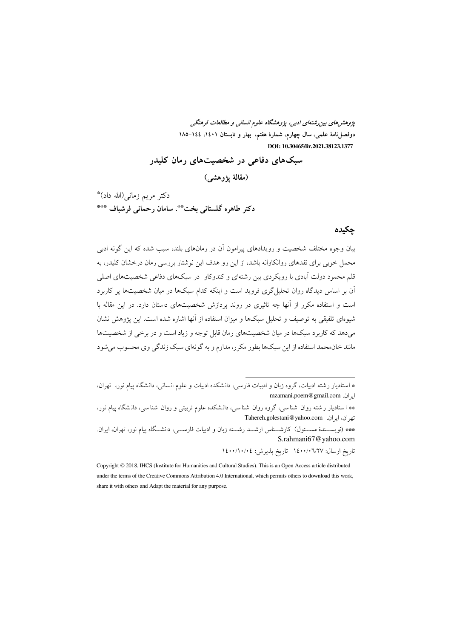پژوهش های بین رشتهای ادبی، پژوهشگاه علوم انسانی و مطالعات فرهنگی دوفصل نامهٔ علمی، سال چهارم، شمارهٔ هفتم. بهار و تابستان ۱٤٠۱. ١٤٤ـ١٨٥ DOI: 10.30465/lir.2021.38123.1377

سبکهای دفاعی در شخصیتهای رمان کلیدر (مقالهٔ یژوهشی)

دكتر مريم زماني(الله داد)\* دكتر طاهره گلستاني بخت\*\*\*، سامان رحماني فرشباف \*\*\*

#### حكىدە

بیان وجوه مختلف شخصیت و رویدادهای پیرامون آن در رمانهای بلند. سبب شده که این گونه ادبی محمل خوبی برای نقدهای روانکاوانه باشد، از این رو هدف این نوشتار بررسی رمان درخشان کلیدر، به قلم محمود دولت آبادی با رویکردی بین رشتهای و کندوکاو در سبکهای دفاعی شخصیتهای اصلی آن بر اساس دیدگاه روان تحلیل گری فروید است و اینکه کدام سبکها در میان شخصیتها پر کاربرد است و استفاده مکرر از آنها چه تاثیری در روند پردازش شخصیتهای داستان دارد. در این مقاله با شیوهای تلفیقی به توصیف و تحلیل سبکها و میزان استفاده از آنها اشاره شده است. این پژوهش نشان می دهد که کاربرد سبکها در میان شخصیتهای رمان قابل توجه و زیاد است و در برخی از شخصیتها مانند خان،محمد استفاده از این سبکها بطور مکرر، مداوم و به گونهای سبک زندگی وی محسوب می شود

تاريخ ارسال: ١٤٠٠/٠٦/٢٧ تاريخ يذيرش: ١٤٠٠/١٠/٠٤

<sup>\*</sup> استادیار رشته ادبیات، گروه زبان و ادبیات فارسی، دانشکده ادبیات و علوم انسانی، دانشگاه پیام نور، تهران، ایران. mzamani.poem@gmail.com

<sup>\*\*</sup> استادیار ر شته روان شنا سی، گروه روان شنا سی، دانـشکده علوم تربیتی و روان شنا سی، دانـشگاه پیام نور، تهران، ایران. Tahereh.golestani@yahoo.com

<sup>\*\*\* (</sup>نويســـندهٔ مســـئول) كارشـــناس ارشـــد رشـــته زبان و ادبيات فارســـي، دانشـــگاه ييام نور، تهران، ايران. S.rahmani67@yahoo.com

Copyright © 2018, IHCS (Institute for Humanities and Cultural Studies). This is an Open Access article distributed under the terms of the Creative Commons Attribution 4.0 International, which permits others to download this work, share it with others and Adapt the material for any purpose.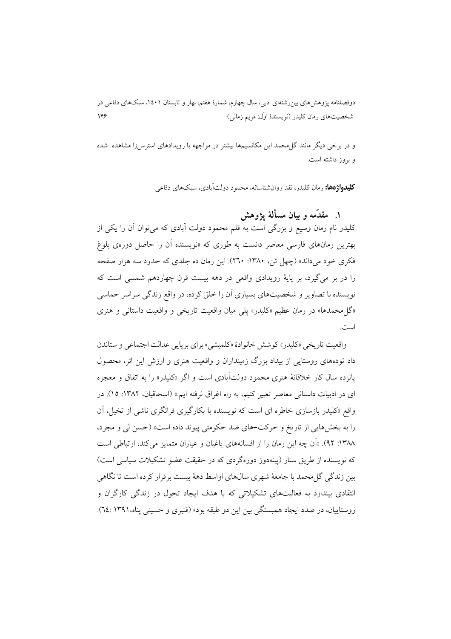دوفصلنامه پژوهشهای بین رشتهای ادبی، سال چهارم، شمارهٔ هفتم، بهار و تابستان ۱٤۰۱، سبکهای دفاعی در ۱۴۶ شخصيتهاي رمان كليدر (نويسندهٔ اوّل: مريم زماني)

و در برخی دیگر مانند گل محمد این مکانسیمها بیشتر در مواجهه با رویدادهای استرس زا مشاهده شده و بروز داشته است.

**کلیدواژهها:** رمان کلیدر، نقد روانشناسانه، محمود دولتآبادی، سیکهای دفاعی

۱. مقدَّمه و بیان مسألهٔ یژوهش کلیدر نام رمان وسیع و بزرگی است به قلم محمود دولت آبادی که می توان آن را یکی از بهترین رمانهای فارسی معاصر دانست به طوری که «نویسنده آن را حاصل دورهی بلوغ فکري خود مي داند» (چهل تن، ۱۳۸۰: ۲٦۰). اين رمان ده جلدي که حدود سه هزار صفحه را در بر مي گيرد، بر پايهٔ رويدادي واقعي در دهه بيست قرن چهاردهم شمسي است كه نویسنده با تصاویر و شخصیتهای بسیاری آن را خلق کرده، در واقع زندگی سراسر حماسی «گل محمدها» در رمان عظیم «کلیدر» یلی میان واقعیت تاریخی و واقعیت داستانی و هنری است.

واقعیت تاریخی «کلیدر» کوشش خانوادهٔ «کلمیشی» برای برپایی عدالت اجتماعی و ستاندن داد تودههای روستایی از بیداد بزرگ زمینداران و واقعیت هنری و ارزش این اثر، محصول یانزده سال کار خلاقانهٔ هنری محمود دولتآبادی است و اگر «کلیدر» را به اتفاق و معجزه ای در ادبیات داستان<sub>ی</sub> معاصر تعبیر کنیم، به راه اغراق نرفته ایم.» (اسحاقیان، ۱۳۸۲: ۱۵). در واقع «کلیدر بازسازی خاطره ای است که نویسنده با بکارگیری فرانگری ناشی از تخیل، آن را به بخشهایی از تاریخ و حرکت–های ضد حکومتی پیوند داده است» (حسن لم و مجرد، ١٣٨٨: ٩٢). «أن چه اين رمان را از افسانههاي ياغيان و عياران متمايز مي كند، ارتباطي است که نویسنده از طریق ستار (پینهدوز دورهگردی که در حقیقت عضو تشکیلات سیاسی است) بین زندگی گل،محمد با جامعهٔ شهری سالهای اواسط دههٔ بیست برقرار کرده است تا نگاهی انتقادی بیندازد به فعالیتهای تشکیلاتی که با هدف ایجاد تحول در زندگی کارگران و روستاییان، در صدد ایجاد همبستگی بین این دو طبقه بود» (قنبری و حسینی پناه،۱۳۹۱ : ۲٤).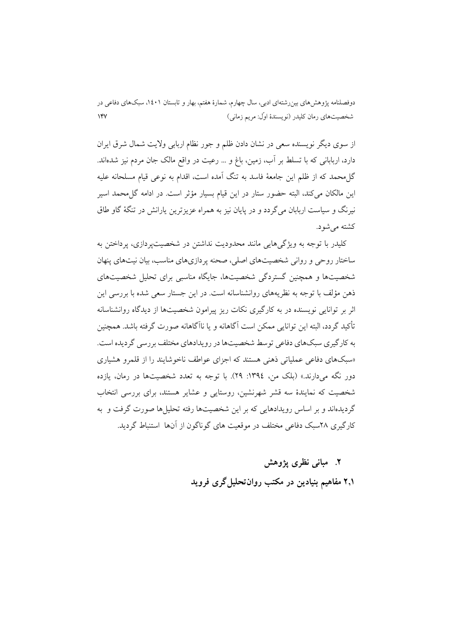دوفصلنامه پژوهشهای بین رشتهای ادبی، سال چهارم، شمارهٔ هفتم، بهار و تابستان ۱٤۰۱، سبکهای دفاعی در  $YY$ شخصیتهای رمان کلیدر (نویسندهٔ اوّل: مریم زمانی)

از سوی دیگر نویسنده سعی در نشان دادن ظلم و جور نظام اربابی ولایت شمال شرق ایران دارد، اربابانی که با تسلط بر آب، زمین، باغ و … رعیت در واقع مالک جان مردم نیز شدهاند. گل محمد که از ظلم این جامعهٔ فاسد به تنگ آمده است، اقدام به نوعی قیام مسلحانه علیه این مالکان میکند، البته حضور ستار در این قیام بسیار مؤثر است. در ادامه گلمحمد اسیر نیرنگ و سیاست اربابان می گردد و در پایان نیز به همراه عزیزترین پارانش در تنگهٔ گاو طاق كشته مىشود.

کلیدر با توجه به ویژگیهایی مانند محدودیت نداشتن در شخصیت پردازی، پرداختن به ساختار روحی و روانی شخصیتهای اصلی، صحنه پردازیهای مناسب، بیان نیتهای پنهان شخصیتها و همچنین گستردگی شخصیتها، جایگاه مناسبی برای تحلیل شخصیتهای ذهن مؤلف با توجه به نظریههای روانشناسانه است. در این جستار سعی شده با بررسی این اثر بر توانایی نویسنده در به کارگیری نکات ریز پیرامون شخصیتها از دیدگاه روانشناسانه تأکید گردد، البته این توانایی ممکن است آگاهانه و یا ناآگاهانه صورت گرفته باشد. همچنین به کارگیری سبکهای دفاعی توسط شخصیتها در رویدادهای مختلف بررسی گردیده است. «سبکهای دفاعی عملیاتی ذهنی هستند که اجزای عواطف ناخوشایند را از قلمرو هشیاری دور نگه میدارند.» (بلک من، ١٣٩٤: ٢٩). با توجه به تعدد شخصیتها در رمان، یازده شخصیت که نمایندهٔ سه قشر شهرنشین، روستایی و عشایر هستند، برای بررسی انتخاب گردیدهاند و بر اساس رویدادهایی که بر این شخصیتها رفته تحلیلها صورت گرفت و به کارگیری ۲۸سبک دفاعی مختلف در موقعیت های گوناگون از آنها استنباط گردید.

> ۲. مبانی نظری یژوهش ۲٫۱ مفاهیم بنیادین در مکتب روان تحلیل گری فروید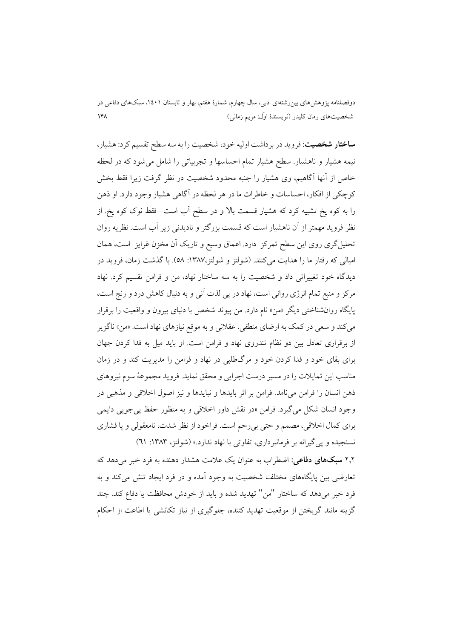دوفصلنامه پژوهشهای بین رشتهای ادبی، سال چهارم، شمارهٔ هفتم، بهار و تابستان ۱٤۰۱، سبکهای دفاعی در ١۴٨ شخصیتهای رمان کلیدر (نویسندهٔ اوّل: مریم زمانی)

**ساختار شخصیت**: فروید در برداشت اولیه خود، شخصیت را به سه سطح تقسیم کرد: هشیار، نیمه هشیار و ناهشیار. سطح هشیار تمام احساسها و تجربیاتی را شامل می شود که در لحظه خاص از آنها آگاهیم، وی هشیار را جنبه محدود شخصیت در نظر گرفت زیرا فقط بخش كوچكي از افكار، احساسات و خاطرات ما در هر لحظه در آگاهي هشيار وجود دارد. او ذهن را به کوه یخ تشبیه کرد که هشیار قسمت بالا و در سطح اَب است– فقط نوک کوه یخ از نظر فروید مهمتر از آن ناهشیار است که قسمت بزرگتر و نادیدنی زیر آب است. نظریه روان تحلیل گری روی این سطح تمرکز دارد. اعماق وسیع و تاریک آن مخزن غرایز است، همان امیالی که رفتار ما را هدایت می کنند. (شولتز و شولتز،۱۳۸۷: ۵۸). با گذشت زمان، فروید در دیدگاه خود تغییراتی داد و شخصیت را به سه ساختار نهاد، من و فرامن تقسیم کرد. نهاد مرکز و منبع تمام انرژی روانی است، نهاد در پی لذت آنی و به دنبال کاهش درد و رنج است، پایگاه روان شناختی دیگر «من» نام دارد. من پیوند شخص با دنیای بیرون و واقعیت را برقرار می کند و سعی در کمک به ارضای منطقی، عقلانی و به موقع نیازهای نهاد است. «من» ناگزیر از برقراری تعادل بین دو نظام تندروی نهاد و فرامن است. او باید میل به فدا کردن جهان برای بقای خود و فدا کردن خود و مرگطلبی در نهاد و فرامن را مدیریت کند و در زمان مناسب اين تمايلات را در مسير درست اجرايي و محقق نمايد. فرويد مجموعهٔ سوم نيروهاي ذهن انسان را فرامن می نامد. فرامن بر اثر بایدها و نبایدها و نیز اصول اخلاقی و مذهبی در وجود انسان شکل می گیرد. فرامن «در نقش داور اخلاقی و به منظور حفظ پی جویبی دایمی براي كمال اخلاقي، مصمم و حتى بي رحم است. فراخود از نظر شدت، نامعقولي و يا فشاري نسنجیده و یی گیرانه بر فرمانبرداری، تفاوتی با نهاد ندارد.» (شولتز، ۱۳۸۳: ٦۱)

۲٫۲ **سبکهای دفاعی**: اضطراب به عنوان یک علامت هشدار دهنده به فرد خبر می دهد که تعارضی بین پایگاههای مختلف شخصیت به وجود اَمده و در فرد ایجاد تنش می کند و به فرد خبر می دهد که ساختار "من" تهدید شده و باید از خودش محافظت یا دفاع کند. چند گزینه مانند گریختن از موقعیت تهدید کننده، جلوگیری از نیاز تکانشی یا اطاعت از احکام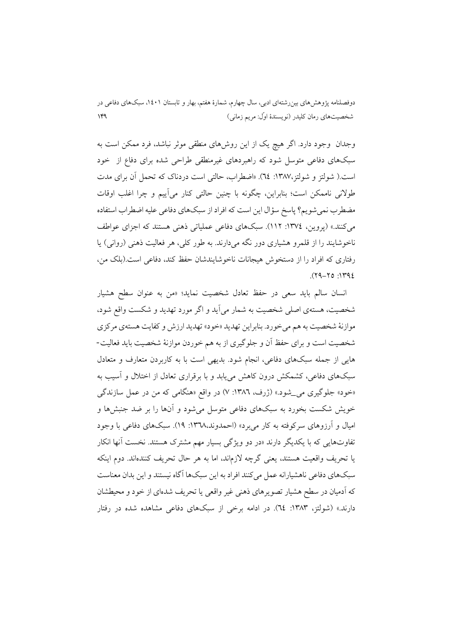دوفصلنامه پژوهشهای بین رشتهای ادبی، سال چهارم، شمارهٔ هفتم، بهار و تابستان ۱٤۰۱، سبکهای دفاعی در  $149$ شخصيتهاي رمان كليدر (نويسندهٔ اوّل: مريم زماني)

وجدان ً وجود دارد. اگر هیچ یک از این روشهای منطقی موثر نباشد، فرد ممکن است به سبکهای دفاعی متوسل شود که راهبردهای غیرمنطقی طراحی شده برای دفاع از خود است.( شولتز و شولتز،۱۳۸۷: ۲٤). «اضطراب، حالتي است دردناک که تحمل آن براي مدت طولانی ناممکن است؛ بنابراین، چگونه با چنین حالتی کنار میآییم و چرا اغلب اوقات مضطرب نمی شویم؟ پاسخ سؤال این است که افراد از سبکهای دفاعی علیه اضطراب استفاده می کنند.» (پروین، ١٣٧٤: ١١٢). سبکهای دفاعی عملیاتی ذهنی هستند که اجزای عواطف ناخوشایند را از قلمرو هشیاری دور نگه میدارند. به طور کلی، هر فعالیت ذهنی (روانی) یا رفتاری که افراد را از دستخوش هیجانات ناخوشایندشان حفظ کند، دفاعی است (بلک من،  $(79 - 70)$ 

انسان سالم بايد سعى در حفظ تعادل شخصيت نمايد؛ «من به عنوان سطح هشيار شخصیت، هستهی اصلی شخصیت به شمار میآید و اگر مورد تهدید و شکست واقع شود، موازنهٔ شخصیت به هم میخورد. بنابراین تهدید «خود» تهدید ارزش و کفایت هستهی مرکزی شخصیت است و برای حفظ آن و جلوگیری از به هم خوردن موازنهٔ شخصیت باید فعالیت-هایی از جمله سبکهای دفاعی، انجام شود. بدیهی است با به کاربردن متعارف و متعادل سبکهای دفاعی، کشمکش درون کاهش می پابد و با برقراری تعادل از اختلال و آسیب به «خود» جلوگیری می\_شود.» (ژرف، ١٣٨٦: ٧) در واقع «هنگامی که من در عمل سازندگی خویش شکست بخورد به سبکهای دفاعی متوسل میشود و آنها را بر ضد جنبشها و امیال و آرزوهای سرکوفته به کار می برد» (احمدوند،۱۳٦۸: ۱۹). سبکهای دفاعی با وجود تفاوتهایی که با یکدیگر دارند «در دو ویژگی بسیار مهم مشترک هستند. نخست آنها انکار يا تحريف واقعيت هستند، يعني گرچه لازماند، اما به هر حال تحريف كنندهاند. دوم اينكه سبکهای دفاعی ناهشیارانه عمل میکنند افراد به این سبکها آگاه نیستند و این بدان معناست که اَدمیان در سطح هشیار تصویرهای ذهنی غیر واقعی یا تحریف شدهای از خود و محیطشان دارند.» (شولتز، ۱۳۸۳: ۲٤). در ادامه برخی از سبکهای دفاعی مشاهده شده در رفتار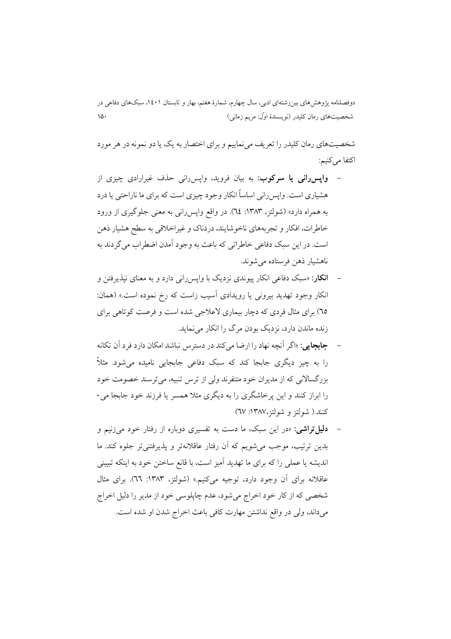دوفصلنامه پژوهشهای بین رشتهای ادبی، سال چهارم، شمارهٔ هفتم، بهار و تابستان ۱٤۰۱، سبکهای دفاعی در  $\lambda \Delta$ شخصیتهای رمان کلیدر (نویسندهٔ اوّل: مریم زمانی)

شخصیتهای رمان کلیدر را تعریف مینماییم و برای اختصار به یک یا دو نمونه در هر مورد اكتفا مىكنيم:

- واپس رانی یا سرکوب: به بیان فروید، واپس رانی حذف غیرارادی چیزی از هشیاری است. واپس رانی اساساً انکار وجود چیزی است که برای ما ناراحتی یا درد به همراه دارد» (شولتز، ۱۳۸۳: ۲٤). در واقع واپس٫رانی به معنی جلوگیری از ورود خاطرات، افکار و تجربههای ناخوشایند، دردناک و غیراخلاقی به سطح هشیار ذهن است. در اين سبک دفاعي خاطراتي که باعث به وجود آمدن اضطراب مي گردند به ناهشيار ذهن فرستاده مي شوند.
- **انکار**: «سبک دفاعی انکار پیوندی نزدیک با واپس رانی دارد و به معنای نیذیرفتن و  $\frac{1}{2}$ انکار وجود تهدید بیرونی یا رویدادی آسیب زاست که رخ نموده است.» (همان: ٦٥) برای مثال فردی که دچار بیماری لاعلاجی شده است و فرصت کوتاهی برای زنده ماندن دارد، نزدیک بودن مرگ را انکار می نماید.
- جابجایی: «اگر آنچه نهاد را ارضا می کند در دسترس نباشد امکان دارد فرد آن تکانه  $\overline{\phantom{a}}$ را به چیز دیگری جابجا کند که سبک دفاعی جابجایی نامیده می شود. مثلاً بزرگسالانی که از مدیران خود متنفرند ولی از ترس تنبیه، می ترسند خصومت خود را ابراز کنند و این برخاشگری را به دیگری مثلاً همسر یا فرزند خود جابجا می-كنند.( شولتز و شولتز،١٣٨٧: ٦٧)
- دلیل تراشی: «در این سبک، ما دست به تفسیری دوباره از رفتار خود میزنیم و بدین ترتیب، موجب می شویم که آن رفتار عاقلانهتر و پذیرفتنی تر جلوه کند. ما اندیشه یا عملی را که برای ما تهدید آمیز است، با قانع ساختن خود به اینکه تبیینی عاقلانه برای آن وجود دارد، توجیه میکنیم.» (شولتز، ۱۳۸۳: ٦٦). برای مثال شخصی که از کار خود اخراج میشود، عدم چاپلوسی خود از مدیر را دلیل اخراج مي داند، ولي در واقع نداشتن مهارت كافي باعث اخراج شدن او شده است.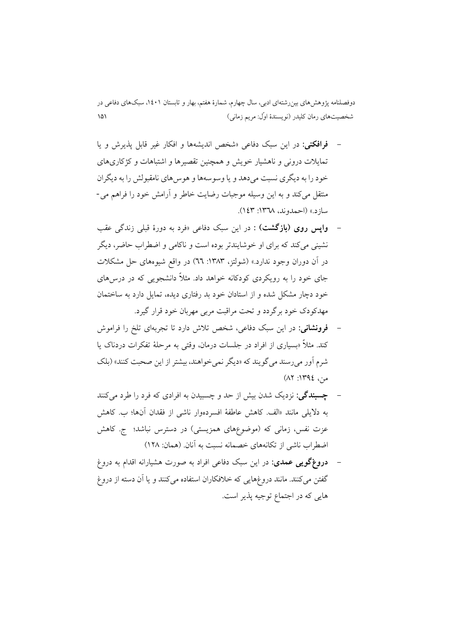دوفصلنامه پژوهشهای بین رشتهای ادبی، سال چهارم، شمارهٔ هفتم، بهار و تابستان ۱٤۰۱، سبکهای دفاعی در ۱۵۱ شخصیتهای رمان کلیدر (نویسندهٔ اوّل: مریم زمانی)

- فرافکنی: در این سبک دفاعی «شخص اندیشهها و افکار غیر قابل پذیرش و یا تمایلات درونی و ناهشیار خویش و همچنین تقصیرها و اشتباهات و کژکاریهای خود را به ديگري نسبت مي دهد و يا وسوسهها و هوس هاي نامقبولش را به ديگران منتقل می کند و به این وسیله موجبات رضایت خاطر و أرامش خود را فراهم می-سازد.» (احمدوند، ١٣٦٨: ١٤٣).
- واپس روی (بازگشت) : در این سبک دفاعی «فرد به دورهٔ قبلی زندگی عقب نشینی میکند که برای او خوشایندتر بوده است و ناکامی و اضطراب حاضر، دیگر در آن دوران وجود ندارد.» (شولتز، ۱۳۸۳: ٦٦) در واقع شیوههای حل مشکلات جای خود را به رویکردی کودکانه خواهد داد. مثلاً دانشجویی که در درس های خود دچار مشکل شده و از استادان خود بد رفتاری دیده، تمایل دارد به ساختمان مهدکودک خود برگردد و تحت مراقبت مربی مهربان خود قرار گیرد.
- فرونشانی: در این سبک دفاعی، شخص تلاش دارد تا تجربهای تلخ را فراموش کند. مثلاً «بسیاری از افراد در جلسات درمان، وقتی به مرحلهٔ تفکرات دردناک یا شرم آور می رسند می گویند که «دیگر نمی خواهند، بیشتر از این صحبت کنند» (بلک من، ١٣٩٤: ٨٢)
- چسبندگی: نزدیک شدن بیش از حد و چسبیدن به افرادی که فرد را طرد میکنند به دلایلی مانند «الف کاهش عاطفهٔ افسردهوار ناشی از فقدان آنها؛ ب کاهش عزت نفس، زمانی که (موضوعهای همزیستی) در دسترس نباشد؛ ج. کاهش اضطراب ناشی از تکانههای خصمانه نسبت به آنان. (همان: ۱۲۸)
- **دروغگویی عمدی**: در این سبک دفاعی افراد به صورت هشیارانه اقدام به دروغ گفتن میکنند. مانند دروغهایی که خلافکاران استفاده میکنند و یا آن دسته از دروغ هایی که در اجتماع توجیه پذیر است.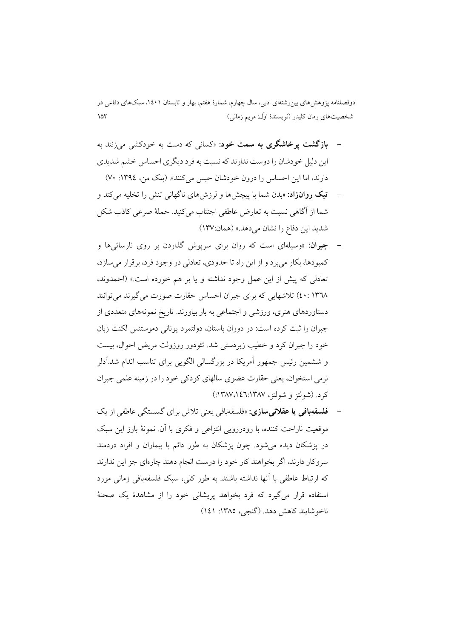دوفصلنامه پژوهشهای بین رشتهای ادبی، سال چهارم، شمارهٔ هفتم، بهار و تابستان ۱٤۰۱، سبکهای دفاعی در شخصيتهاي رمان كليدر (نويسندهٔ اوّل: مريم زماني) ١۵٢

- بازگشت برخاشگری به سمت خود: «کسان<sub>ی</sub> که دست به خودکش<sub>ی</sub> میزنند به این دلیل خودشان را دوست ندارند که نسبت به فرد دیگری احساس خشم شدیدی دارند، اما این احساس را درون خودشان حبس می کنند». (بلک من، ١٣٩٤: ٧٠)
- **تیک روانزاد**: «بدن شما با پیچشها و لرزشهای ناگهانی تنش را تخلیه می کند و شما از آگاهی نسبت به تعارض عاطفی اجتناب می کنید. حملهٔ صرعی کاذب شکل شديد اين دفاع را نشان مي دهد.» (همان:١٣٧)
- جبران: «وسیلهای است که روان برای سرپوش گذاردن بر روی نارسائیها و كمبودها، يكار مي يرد و از اين راه تا حدودي، تعادلي در وجود فرد، يرقرار مي سازد، .<br>تعادلی که پیش از این عمل وجود نداشته و پا بر هم خورده است.» (احمدوند، ٤٠: ١٣٦٨) تلاشهایی که برای جبران احساس حقارت صورت می گیرند می توانند دستاوردهای هنری، ورزشی و اجتماعی به بار بیاورند. تاریخ نمونههای متعددی از جبران را ثبت کرده است: در دوران باستان، دولتمرد یونانی دموستنس لکنت زبان خود را جبران کرد و خطیب زیردستی شد. تئودور روزولت مریض احوال، بیست و ششمین رئیس جمهور آمریکا در بزرگسالی الگویی برای تناسب اندام شد.آدلر نرمی استخوان، یعنی حقارت عضوی سالهای کودکی خود را در زمینه علمی جبران کرد. (شولتز و شولتز، ۱۳۸۷:۱٤٦:۱۳۸۷،)
- فلسفهبافی یا عقلانیسازی: «فلسفهبافی یعنی تلاش برای گسستگی عاطفی از یک موقعیت ناراحت کننده، با رودررویی انتزاعی و فکری با آن. نمونهٔ بارز این سبک در پزشکان دیده میشود. چون پزشکان به طور دائم با بیماران و افراد دردمند سروکار دارند، اگر بخواهند کار خود را درست انجام دهند چارهای جز این ندارند که ارتباط عاطفی با آنها نداشته باشند. به طور کلی، سبک فلسفهبافی زمانی مورد استفاده قرار می گیرد که فرد بخواهد پریشانی خود را از مشاهدهٔ یک صحنهٔ ناخوشايند كاهش دهد. (گنجي، ١٣٨٥: ١٤١)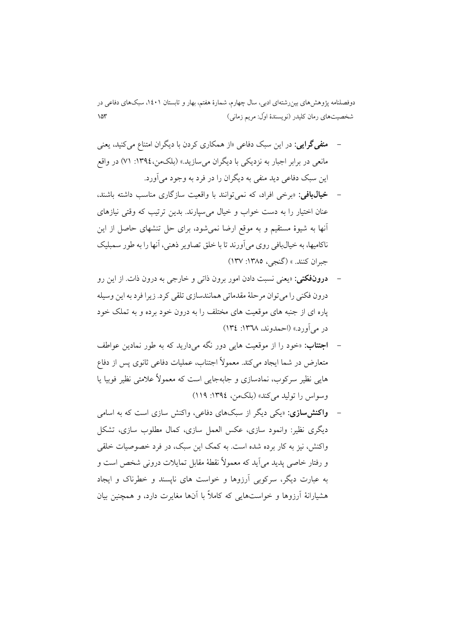دوفصلنامه پژوهشهای بین رشتهای ادبی، سال چهارم، شمارهٔ هفتم، بهار و تابستان ۱٤۰۱، سبکهای دفاعی در ۱۵۳ شخصیتهای رمان کلیدر (نویسندهٔ اوّل: مریم زمانی)

- منفی گرایی: در این سبک دفاعی «از همکاری کردن با دیگران امتناع میکنید، یعنی مانعی در برابر اجبار به نزدیکی با دیگران می سازید.» (بلکمن،۱۳۹٤: ۷۱) در واقع اين سبک دفاعي ديد منفي به ديگران را در فرد به وجود مي آورد.
- خیال بافی: «برخی افراد، که نمی توانند با واقعیت سازگاری مناسب داشته باشند، عنان اختبار را به دست خواب و خيال مي سيارند. بدين ترتيب كه وقتي نيازهاي آنها به شیوهٔ مستقیم و به موقع ارضا نمیشود، برای حل تنشهای حاصل از این ناکامیها، به خیالبافی روی می آورند تا با خلق تصاویر ذهنی، آنها را به طور سمبلیک جبران كنند. » (گنجي، ١٣٨٥: ١٣٧)
- درونفکنی: «بعنی نسبت دادن امور برون ذاتی و خارجی به درون ذات. از این رو درون فكني را مي توان مرحلهٔ مقدماتي همانندسازي تلقي كرد. زيرا فرد به اين وسيله یاره ای از جنبه های موقعیت های مختلف را به درون خود برده و به تملک خود در می آورد.» (احمدوند، ١٣٦٨: ١٣٤)
- اجتناب: «خود را از موقعت هایی دور نگه می دارید که به طور نمادین عواطف متعارض در شما ایجاد می کند. معمولاً اجتناب، عملیات دفاعی ثانوی پس از دفاع هایی نظیر سرکوب، نمادسازی و جایهجایی است که معمولاً علامتی نظیر فویبا یا وسواس را توليد مي كند» (بلكمن، ١٣٩٤: ١١٩)
- واکنش سازی: «یکی دیگر از سیکهای دفاعی، واکنش سازی است که به اسامی دیگری نظیر: وانمود سازی، عکس العمل سازی، کمال مطلوب سازی، تشکل واکنش، نیز به کار برده شده است. به کمک این سبک، در فرد خصوصیات خلقی و رفتار خاصی پدید می]ید که معمولاً نقطهٔ مقابل تمایلات درونی شخص است و به عبارت دیگر، سرکوبی آرزوها و خواست های ناپسند و خطرناک و ایجاد هشبارانهٔ آرزوها و خواستهایی که کاملاً با آنها مغایرت دارد، و همچنین بیان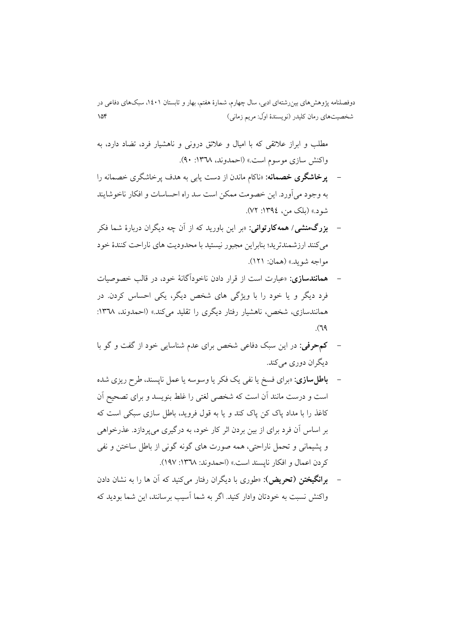دوفصلنامه پژوهشهای بین رشتهای ادبی، سال چهارم، شمارهٔ هفتم، بهار و تابستان ۱٤۰۱، سبکهای دفاعی در ١۵۴ شخصيتهاي رمان كليدر (نويسندهٔ اوّل: مريم زماني)

مطلب و ابراز علائقی که با امیال و علائق درونی و ناهشیار فرد، تضاد دارد، به واكنش سازى موسوم است.» (احمدوند، ١٣٦٨: ٩٠).

- **یرخاشگری خصمانه**: «ناکام ماندن از دست یاب<sub>ی</sub> به هدف پرخاشگری خصمانه را به وجود می[ورد. این خصومت ممکن است سد راه احساسات و افکار ناخوشایند شود.» (بلک من، ١٣٩٤: ٧٢).
- **بزرگ0منشی/ همهکارتوانی**: «بر این باورید که از آن چه دیگران دربارهٔ شما فکر مي كنند ارزشمندتريد؛ بنابراين مجبور نيستيد با محدوديت هاي ناراحت كنندهٔ خود مواجه شويد.» (همان: ١٢١).
- همانندسازی: «عبارت است از قرار دادن ناخودآگانهٔ خود، در قالب خصوصیات فرد دیگر و یا خود را با ویژگی های شخص دیگر، یکی احساس کردن در همانندسازی، شخص، ناهشیار رفتار دیگری را تقلید می کند.» (احمدوند، ۱۳۷۸:  $(79)$
- کم حرفی: در این سبک دفاعی شخص برای عدم شناسایی خود از گفت و گو با دیگران دوری مے کند.
- **باطلسازی**: «برای فسخ یا نفی یک فکر یا وسوسه یا عمل ناپسند، طرح ریزی شده است و درست مانند آن است که شخصی لغتی را غلط بنویسد و برای تصحیح آن کاغذ را با مداد پاک کن پاک کند و یا به قول فروید، باطل سازی سبکی است که بر اساس آن فرد برای از بین بردن اثر کار خود، به درگیری می پردازد. عذرخواهی و پشیمانی و تحمل ناراحتی، همه صورت های گونه گونی از باطل ساختن و نفی كردن اعمال و افكار نايسند است.» (احمدوند: ١٣٦٨: ١٩٧).
- برانگیختن (تحریض): «طوری با دیگران رفتار میکنید که آن ها را به نشان دادن واکنش نسبت به خودتان وادار کنید. اگر به شما آسیب برسانند، این شما بودید که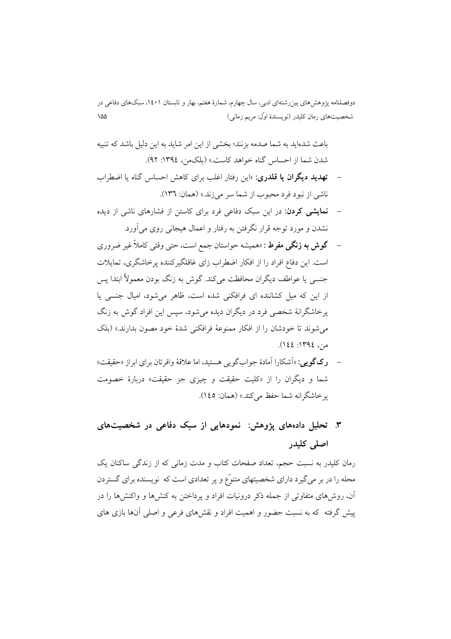دوفصلنامه پژوهشهای بین رشتهای ادبی، سال چهارم، شمارهٔ هفتم، بهار و تابستان ۱٤۰۱، سبکهای دفاعی در ۱۵۵ شخصیتهای رمان کلیدر (نویسندهٔ اوّل: مریم زمانی)

باعث شدهاید به شما صدمه بزنند؛ بخشی از این امر شاید به این دلیل باشد که تنبیه شدن شما از احساس گناه خواهد کاست.» (بلکمن، ١٣٩٤: ٩٢).

- تهدید دیگران یا قلدری: «این رفتار اغلب برای کاهش احساس گناه یا اضطراب ناشي از نبود فرد محبوب از شما سر ميزند.» (همان: ١٣٦).
- نمایشی کردن: در این سبک دفاعی فرد برای کاستن از فشارهای ناشی از دیده نشدن و مورد توجه قرار نگرفتن به رفتار و اعمال هیجانی روی می آورد.
- گوش به **زنگي مفرط** : «هميشه حواستان جمع است، حتى وقتى كاملاً غير ضرورى  $\overline{a}$ است. این دفاع افراد را از افکار اضطراب زای غافلگیرکننده یر خاشگری، تمایلات جنسي يا عواطف ديگران محافظت مي کند. گوش به زنگ بودن معمولاً ابتدا پس از این که میل کشاننده ای فرافکنی شده است، ظاهر می شود، امیال جنسی یا یر خاشگرانهٔ شخصی فرد در دیگران دیده می شود، سپس این افراد گوش به زنگ مي شوند تا خودشان را از افكار ممنوعهٔ فرافكني شدهٔ خود مصون بدارند.» (بلك من، ١٣٩٤: ١٤٤).
- **رک گويي**: «اَشكارا اَمادهٔ جوابگو يي هستيد، اما علاقهٔ وافر تان براي ابراز «حقيقت» شما و دیگران را از «کلیت حقیقت و چیزی جز حقیقت» دربارهٔ خصومت یر خاشگر آنه شما حفظ می کند.» (همان: ١٤٥).

# ۳. تحلیل دادههای یژوهش: نمودهایی از سبک دفاعی در شخصیتهای اصلی کلیدر

رمان کلیدر به نسبت حجم، تعداد صفحات کتاب و مدت زمانی که از زندگی ساکنان یک محله را در بر میگیرد دارای شخصیتهای متنوّع و پر تعدادی است که نویسنده برای گستردن آن، روشهای متفاوتی از جمله ذکر درونیات افراد و پرداختن به کنشها و واکنشها را در پیش گرفته که به نسبت حضور و اهمیت افراد و نقشهای فرعی و اصلی آنها بازی های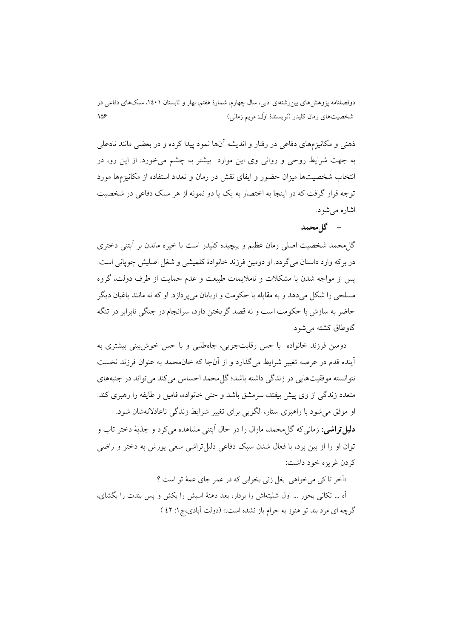دوفصلنامه پژوهشهای بین رشتهای ادبی، سال چهارم، شمارهٔ هفتم، بهار و تابستان ۱٤۰۱، سبکهای دفاعی در ١۵۶ شخصيتهاي رمان كليدر (نويسندهٔ اوّل: مريم زماني)

ذهنی و مکانیزمهای دفاعی در رفتار و اندیشه اَنها نمود پیدا کرده و در بعضی مانند نادعلی به جهت شرایط روحی و روانی وی این موارد بیشتر به چشم میخورد. از این رو، در انتخاب شخصیتها میزان حضور و ایفای نقش در رمان و تعداد استفاده از مکانیزمها مورد توجه قرار گرفت که در اینجا به اختصار به یک یا دو نمونه از هر سبک دفاعی در شخصیت اشاره می شود.

- گل محمد

گلمحمد شخصیت اصلی رمان عظیم و پیچیده کلیدر است با خیره ماندن بر آبتنی دختری در بركه وارد داستان مي گردد. او دومين فرزند خانوادهٔ كلميشي و شغل اصليش چوپاني است. یس از مواجه شدن با مشکلات و ناملایمات طبیعت و عدم حمایت از طرف دولت، گروه مسلحي را شكل مي دهد و به مقابله با حكومت و اربابان مي پر دازد. او كه نه مانند ياغيان ديگر حاضر به سازش با حکومت است و نه قصد گریختن دارد، سرانجام در جنگی نابرابر در تنگه گاوطاق کشته می شود.

دومین فرزند خانواده با حس رقابتجویی، جاهطلبی و با حس خوش بینی بیشتری به اًينده قدم در عرصه تغيير شرايط مي گذارد و از آنجا كه خانهحمد به عنوان فرزند نخست نتوانسته موفقیتهایی در زندگی داشته باشد؛ گل محمد احساس می کند می تواند در جنبههای متعدد زندگی از وی پیش بیفتد، سرمشق باشد و حتی خانواده، فامیل و طایفه را رهبری کند. او موفق می شود با راهبری ستار، الگویی برای تغییر شرایط زندگی ناعادلانهشان شود. **دلیل تراشی**: زمانی که گل محمد، مارال را در حال آیتنی مشاهده می کرد و جذبهٔ دختر تاب و توان او را از بین برد، با فعال شدن سبک دفاعی دلیل تراشی سعی یورش به دختر و راضی كردن غريزه خود داشت:

«اَخر تا کی می خواهی بغل زنی بخوابی که در عمر جای عمهٔ تو است ؟

آه … تكانى بخور … اول شليتهاش را بردار، بعد دهنهٔ اسبش را بكش و يس بندت را بگشاى، گرچه ای مرد بند تو هنوز به حرام باز نشده است.» (دولت آبادی،ج ۱: ٤٢ )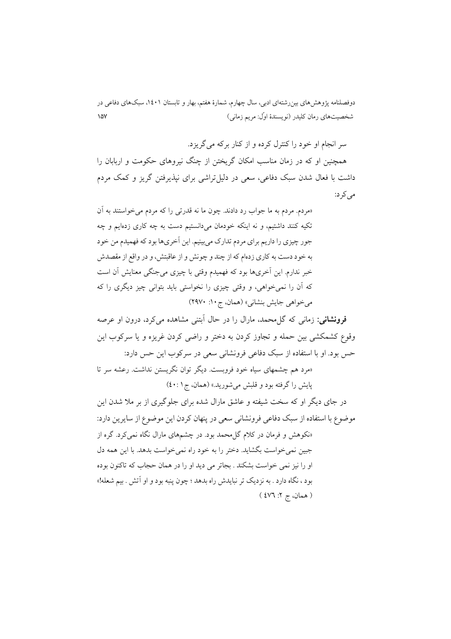دوفصلنامه پژوهشهای بین رشتهای ادبی، سال چهارم، شمارهٔ هفتم، بهار و تابستان ۱٤۰۱، سبکهای دفاعی در  $\lambda \Delta V$ شخصیتهای رمان کلیدر (نویسندهٔ اوّل: مریم زمانی)

سر انجام او خود را کنترل کرده و از کنار برکه می گریزد.

همچنین او که در زمان مناسب امکان گریختن از چنگ نیروهای حکومت و اربابان را داشت با فعال شدن سبک دفاعی، سعی در دلیل تراشی برای نیذیرفتن گریز و کمک مردم می کر د:

«مردم. مردم به ما جواب رد دادند. چون ما نه قدرتی را که مردم می خواستند به آن تکیه کنند داشتیم، و نه اینکه خودمان میدانستیم دست به چه کاری زدهایم و چه جور چیزی را داریم برای مردم تدارک می بینیم. این آخریها بود که فهمیدم من خود به خود دست به کاری زدهام که از چند و چونش و از عاقبتش، و در واقع از مقصدش خبر ندارم. این آخریها بود که فهمیدم وقتی با چیزی می جنگی معنایش آن است که آن را نمیخواهی، و وقتی چیزی را نخواستی باید بتوانی چیز دیگری را که مي خواهي جايش بنشاني» (همان، ج ١٠: ٢٩٧٠)

فرونشانی: زمانی که گل محمد، مارال را در حال اَبتنی مشاهده می کرد، درون او عرصه وقوع کشمکشی بین حمله و تجاوز کردن به دختر و راضی کردن غریزه و یا سرکوب این حس بود. او با استفاده از سبک دفاعی فرونشانی سعی در سرکوب این حس دارد:

«مرد هم چشمهای سیاه خود فرویست. دیگر توان نگریستن نداشت. رعشه سر تا پایش را گرفته بود و قلبش میشورید.» (همان، ج ٤٠:١)

در جای دیگر او که سخت شیفته و عاشق مارال شده برای جلوگیری از بر ملا شدن این موضوع با استفاده از سبک دفاعی فرونشانی سعی در پنهان کردن این موضوع از سایرین دارد: «نکوهش و فرمان در کلام گل محمد بود. در چشمهای مارال نگاه نمی کرد. گره از جبین نمیخواست بگشاید. دختر را به خود راه نمی خواست بدهد. با این همه دل او را نیز نمی خواست بشکند . بجاتر می دید او را در همان حجاب که تاکنون بوده بود ، نگاه دارد . به نزدیک تر نبایدش راه بدهد ؛ چون پنبه بود و او آتش . بیم شعله!» ( همان، ج ۲: ٤٧٦ )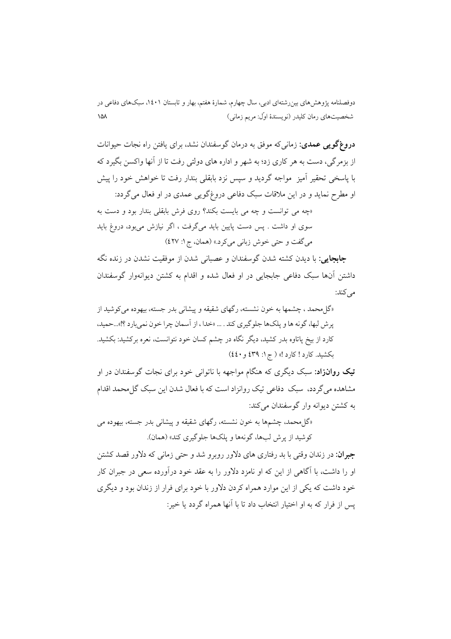دوفصلنامه پژوهشهای بین رشتهای ادبی، سال چهارم، شمارهٔ هفتم، بهار و تابستان ۱٤۰۱، سبکهای دفاعی در ١۵٨ شخصیتهای رمان کلیدر (نویسندهٔ اوّل: مریم زمانی)

**دروغگویی عمدی**: زمانیکه موفق به درمان گوسفندان نشد، برای یافتن راه نجات حیوانات از بزمرگی، دست به هر کاری زد؛ به شهر و اداره های دولتی رفت تا از آنها واکسن بگیرد که با پاسخی تحقیر اَمیز ِ مواجه گردید و سپس نزد بابقلی بندار رفت تا خواهش خود را پیش او مطرح نماید و در این ملاقات سبک دفاعی دروغگویی عمدی در او فعال میگردد:

«چه می توانست و چه می بایست بکند؟ روی فرش بابقلی بندار بود و دست به سوی او داشت . پس دست پایین باید میگرفت ، اگر نیازش میبود، دروغ باید مي گفت و حتى خوش زباني مي كرد.» (همان، ج ۱: ٤٢٧)

**جابجایی**: با دیدن کشته شدن گوسفندان و عصبانی شدن از موفقیت نشدن در زنده نگه داشتن آنها سبک دفاعی جابجایی در او فعال شده و اقدام به کشتن دیوانهوار گوسفندان مي كند:

«گل محمد ، چشمها به خون نشسته، رگهای شقیقه و پیشانی بدر جسته، بیهوده می کوشید از ير ش لبها، گونه ها و يلکها جلو گيري کند . ... «خدا ، از آسمان چرا خون نمي بارد ؟!»...حميد، کارد از بیخ پاتاوه بدر کشید، دیگر نگاه در چشم کسان خود نتوانست، نعره برکشید: بکشید. بکشید. کارد ! کارد !» ( ج ۱: ٤٣٩ و ٤٤٠)

**تیک روانزاد:** سبک دیگری که هنگام مواجهه با ناتوانی خود برای نجات گوسفندان در او مشاهده می گردد، سبک دفاعی تبک روانزاد است که با فعال شدن این سبک گل محمد اقدام به کشتن دیوانه وار گوسفندان میکند:

«گل محمد، چشمها به خون نشسته، رگهای شقیقه و پیشانی بدر جسته، بیهوده می کوشيد از پرش لبها، گونهها و پلکها جلوگيري کند» (همان).

جبران: در زندان وقتی با بد رفتاری های دلاور روبرو شد و حتی زمانی که دلاور قصد کشتن او را داشت، با آگاهی از این که او نامزد دلاور را به عقد خود درآورده سعی در جبران کار خود داشت که یکی از این موارد همراه کردن دلاور با خود برای فرار از زندان بود و دیگری يس از فرار كه به او اختيار انتخاب داد تا با آنها همراه گردد يا خير: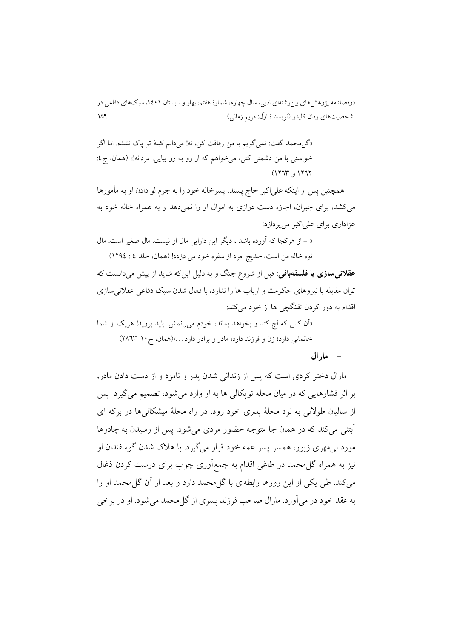دوفصلنامه پژوهشهای بین رشتهای ادبی، سال چهارم، شمارهٔ هفتم، بهار و تابستان ۱٤۰۱، سبکهای دفاعی در ۱۵۹ شخصيتهاي رمان كليدر (نويسندهٔ اوّل: مريم زماني)

«گا محمد گفت: نم<sub>ه ،</sub>گو بم با من رفاقت کن، نه! مي دانم کينهٔ تو پاک نشده. اما اگر خواستی با من دشمنی کنی، می خواهم که از رو به رو بیایی. مردانه!» (همان، ج ٤:  $(1771^\circ, 1777^\circ)$ 

همچنین پس از اینکه علی|کبر حاج پسند، پسرخاله خود را به جرم لو دادن او به مأمورها می کشد، برای جبران، اجازه دست درازی به اموال او را نمی دهد و به همراه خاله خود به عزاداری برای علیاکبر میپردازد:

« – از هركجا كه آورده باشد ، ديگر اين دارايي مال او نيست. مال صغير است. مال نوه خاله من است، خديج. مرد از سفره خود مي دزدد! (همان، جلد ٤ : ١٢٩٤)

**عقلانی سازی یا فلسفهبافی**: قبل از شروع جنگ و به دلیل اینکه شاید از پیش میدانست که توان مقابله با نیروهای حکومت و ارباب ها را ندارد، با فعال شدن سبک دفاعی عقلانی سازی اقدام به دور کردن تفنگچی ها از خود می کند:

«اَن کس که لج کند و بخواهد بماند، خودم می رانمش! باید بروید! هریک از شما خانمانی دارد؛ زن و فرزند دارد؛ مادر و برادر دارد…»(همان، ج ١٠: ٢٨٦٣) - مارال

مارال دختر کردی است که پس از زندانی شدن پدر و نامزد و از دست دادن مادر، بر اثر فشارهایی که در میان محله توپکالی ها به او وارد می شود، تصمیم می گیرد پس از سالیان طولانی به نزد محلهٔ پدری خود رود. در راه محلهٔ میشکالی ها در برکه ای آبتنی میکند که در همان جا متوجه حضور مردی می شود. پس از رسیدن به چادرها مورد بي مهري زيور، همسر پسر عمه خود قرار مي گيرد. با هلاک شدن گوسفندان او نیز به همراه گل•حمد در طاغی اقدام به جمع|َوری چوب برای درست کردن ذغال می کند. طی یکی از این روزها رابطهای با گلمحمد دارد و بعد از آن گلمحمد او را به عقد خود در مي آورد. مارال صاحب فرزند پسري از گلءحمد مي شود. او در برخي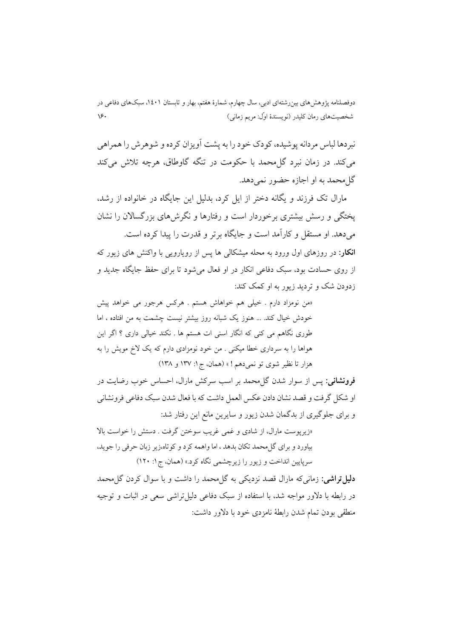دوفصلنامه پژوهشهای بین رشتهای ادبی، سال چهارم، شمارهٔ هفتم، بهار و تابستان ۱٤۰۱، سبکهای دفاعی در ۱۶۰ شخصیتهای رمان کلیدر (نویسندهٔ اوّل: مریم زمانی)

نبردها لباس مردانه پوشیده، کودک خود را به پشت اَویزان کرده و شوهرش را همراهی می کند. در زمان نبرد گل محمد با حکومت در تنگه گاوطاق، هرچه تلاش می کند گل محمد به او اجازه حضور نمی دهد.

مارال تک فرزند و یگانه دختر از ایل کرد، بدلیل این جایگاه در خانواده از رشد، یختگی و رسش بیشتری برخوردار است و رفتارها و نگرشهای بزرگسالان را نشان می دهد. او مستقل و کارآمد است و جایگاه بر تر و قدرت را پیدا کرده است.

**انکار:** در روزهای اول ورود به محله میشکالی ها پس از رویارویی با واکنش های زیور که از روی حسادت بود، سبک دفاعی انکار در او فعال می شود تا برای حفظ جایگاه جدید و زدودن شک و تردید زیور به او کمک کند:

«من نومزاد دارم . خیلی هم خواهاش هستم . هرکس هرجور می خواهد پیش خودش خیال کند. ... هنوز یک شبانه روز بیشتر نیست چشمت به من افتاده ، اما طوری نگاهم می کنی که انگار اسنی ات هستم ها . نکند خیالی داری ؟ اگر این هواها را به سرداری خطا میکنی . من خود نومزادی دارم که یک لاخ مویش را به هزار تا نظیر شوی تو نمیدهم ! » (همان، ج۱: ۱۳۷ و ۱۳۸)

فرونشانی: پس از سوار شدن گلمحمد بر اسب سرکش مارال، احساس خوب رضایت در او شکل گرفت و قصد نشان دادن عکس العمل داشت که با فعال شدن سبک دفاعی فرونشانی و برای جلوگیری از بدگمان شدن زیور و سایرین مانع این رفتار شد:

«زیر یوست مارال، از شادی و غمی غریب سوختن گرفت . دستش را خواست بالا بیاورد و برای گل محمد تکان بدهد ، اما واهمه کرد و کوتاه،زیر زبان حرفی را جوید، سرپایین انداخت و زیور را زیرچشمی نگاه کرد.» (همان، ج۱: ۱۲۰)

**دلیل تراشی**: زمانی که مارال قصد نزدیکی به گل محمد را داشت و با سوال کردن گل محمد در رابطه با دلاور مواجه شد، با استفاده از سبک دفاعی دلیل تراشی سعی در اثبات و توجیه منطقی بودن تمام شدن رابطهٔ نامزدی خود با دلاور داشت: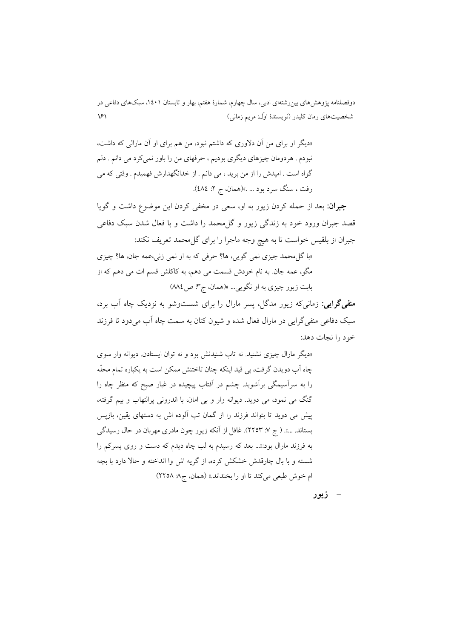دوفصلنامه پژوهشهای بین رشتهای ادبی، سال چهارم، شمارهٔ هفتم، بهار و تابستان ۱٤۰۱، سبکهای دفاعی در  $\sqrt{2}$ شخصیتهای رمان کلیدر (نویسندهٔ اوّل: مریم زمانی)

«دیگر او برای من آن دلاوری که داشتم نبود، من هم برای او آن مارال<sub>ی</sub> که داشت، نبودم . هردومان چیزهای دیگری بودیم ، حرفهای من را باور نمی کرد می دانم . دلم گواه است . امیدش را از من برید ، می دانم . از خدانگهدارش فهمیدم . وقتی که می رفت ، سنگ سرد بود … .»(همان، ج ۲: ٤٨٤).

جبران: بعد از حمله کردن زیور به او، سعی در مخفی کردن این موضوع داشت و گویا قصد جبران ورود خود به زندگی زیور و گل محمد را داشت و با فعال شدن سبک دفاعی جبران از بلقيس خواست تا به هيچ وجه ماجرا را براي گلمحمد تعريف نكند:

«با گلمحمد چیزی نمی گویی، ها؟ حرفی که به او نمی زنی،عمه جان، ها؟ چیزی مگو، عمه جان به نام خودش قسمت می دهم، به کاکلش قسم ات می دهم که از بابت زيور چيزي به او نگويي… »(همان، ج٣: ص١٨٤)

منفی گرایی: زمانی که زیور مدگل، پسر مارال را برای شستوشو به نزدیک چاه آب برد، سبک دفاعی منفی گرایی در مارال فعال شده و شیون کنان به سمت چاه آب م<sub>ی ن</sub>دود تا فرزند خود را نجات دهد:

«دیگر مارال چیزی نشنید. نه تاب شنیدنش بود و نه توان ایستادن. دیوانه وار سوی چاه آب دويدن گرفت، بي قيد اينكه چنان تاختنش ممكن است به يكباره تمام محلّه را به سرآسیمگی برآشوبد. چشم در آفتاب پیچیده در غبار صبح که منظر چاه را گنگ می نمود، می دوید. دیوانه وار و بی امان، با اندرونی پرالتهاب و بیم گرفته، یش می دوید تا بتواند فرزند را از گمان تب آلوده اش به دستهای یقین، بازیس بستاند. ...». (ج ۷: ۲۲۵۳). غافل از آنکه زیور چون مادری مهربان در حال رسیدگی به فرزند مارال بود:«... بعد که رسیدم به لب چاه دیدم که دست و روی پسرکم را شسته و با بال چارقدش خشکش کرده، از گریه اش وا انداخته و حالا دارد با بچه ام خوش طبعي مي كند تا او را بخنداند.» (همان، ج٨ ٢٢٥٨)

– زيور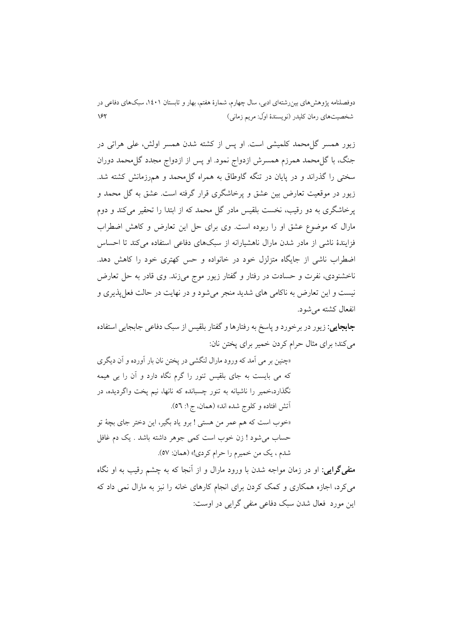دوفصلنامه پژوهشهای بین رشتهای ادبی، سال چهارم، شمارهٔ هفتم، بهار و تابستان ۱٤۰۱، سبکهای دفاعی در ١۶٢ شخصیتهای رمان کلیدر (نویسندهٔ اوّل: مریم زمانی)

زیور همسر گلءحمد کلمیشی است. او پس از کشته شدن همسر اولش، علی هراتی در جنگ، با گل.محمد همرزم همسرش ازدواج نمود. او پس از ازدواج مجدد گل.محمد دوران سختی را گذراند و در پایان در تنگه گاوطاق به همراه گلءحمد و همرزمانش کشته شد. زیور در موقعیت تعارض بین عشق و پرخاشگری قرار گرفته است. عشق به گل محمد و یر خاشگری به دو رقیب، نخست بلقیس مادر گل محمد که از ابتدا را تحقیر می کند و دوم مارال که موضوع عشق او را ربوده است. وی برای حل این تعارض و کاهش اضطراب فزایندهٔ ناشی از مادر شدن مارال ناهشیارانه از سبکهای دفاعی استفاده می کند تا احساس اضطراب ناشی از جایگاه متزلزل خود در خانواده و حس کهتری خود را کاهش دهد. ناخشنودی، نفرت و حسادت در رفتار و گفتار زیور موج میزند. وی قادر به حل تعارض نیست و این تعارض به ناکامی های شدید منجر میشود و در نهایت در حالت فعل پذیری و انفعال كشته مى شود.

**جابجايي**: زيور در برخورد و پاسخ به رفتارها و گفتار بلقيس از سبک دفاعي جابجايي استفاده می کند؛ برای مثال حرام کردن خمیر برای پختن نان:

«چنین بر می آمد که ورود مارال لنگشی در پختن نان بار آورده و آن دیگری که می بایست به جای بلقیس تنور را گرم نگاه دارد و آن را بی هیمه نگذارد،خمیر را ناشیانه به تنور چسبانده که نانها، نیم پخت واگردیده، در آتش افتاده و کلوج شده اند» (همان، ج ۱: ٥٦). «خوب است که هم عمر من هستي ! برو ياد بگير، اين دختر جاي بچهٔ تو

حساب می شود ! زن خوب است کمی جوهر داشته باشد . یک دم غافل شدم ، يک من خميرم را حرام كردي!» (همان: ٥٧).

منفی گرایی: او در زمان مواجه شدن با ورود مارال و از آنجا که به چشم رقیب به او نگاه می کرد، اجازه همکاری و کمک کردن برای انجام کارهای خانه را نبز به مارال نمی داد که این مورد فعال شدن سبک دفاعی منفی گرایی در اوست: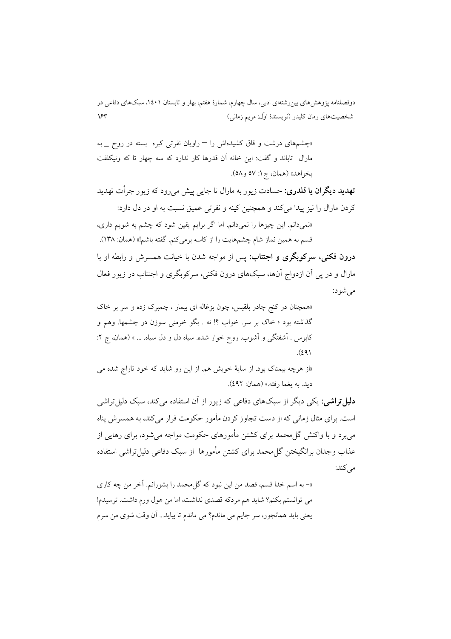دوفصلنامه پژوهشهای بین رشتهای ادبی، سال چهارم، شمارهٔ هفتم، بهار و تابستان ۱٤۰۱، سبکهای دفاعی در ۱۶۳ شخصیتهای رمان کلیدر (نویسندهٔ اوّل: مریم زمانی)

«چشمهای درشت و قاق کشیدهاش را – راویان نفرتی کبره بسته در روح \_ به مارال تاباند و گفت: این خانه آن قدرها کار ندارد که سه چهار تا که ونیکلفت بخواهد» (همان، ج١: ٥٧ و٥٨).

**تهدید دیگران یا قلدری**: حسادت زیور به مارال تا جایی پیش می رود که زیور جرأت تهدید كردن مارال را نيز پيدا مي كند و همچنين كينه و نفرتي عميق نسبت به او در دل دارد:

«نمی دانم. این چیزها را نمی دانم. اما اگر برایم یقین شود که چشم به شویم داری، قسم به همین نماز شام چشمهایت را از کاسه برمی کنم. گفته باشم!» (همان: ۱۳۸). **درون فکنی، سرکوبگری و اجتناب**: پس از مواجه شدن با خیانت همسرش و رابطه او با مارال و در پی آن ازدواج آنها، سبکهای درون فکنی، سرکوبگری و اجتناب در زیور فعال مي شود:

«همچنان در کنج چادر بلقیس، چون بزغاله ای بیمار ، چمبرک زده و سر بر خاک گذاشته بود ؛ خاک بر سر. خواب ؟! نه . بگو خرمنی سوزن در چشمها. وهم و كابوس . آشفتگي و آشوب. روح خوار شده. سياه دل و دل سياه. ... » (همان، ج ۲:  $(29)$ «از هرچه بیمناک بود. از سایهٔ خویش هم. از این رو شاید که خود تاراج شده می ديد. به بغما رفته.» (همان: ٤٩٢).

**دلیل تراشی**: یکی دیگر از سبکهای دفاعی که زیور از آن استفاده می کند، سبک دلیل تراشی است. برای مثال زمانی که از دست تجاوز کردن مأمور حکومت فرار می کند، به همسرش پناه می برد و با واکنش گل محمد برای کشتن مأمورهای حکومت مواجه می شود، برای رهایی از عذاب وجدان برانگیختن گلءحمد برای کشتن مأمورها ًاز سبک دفاعی دلیل تراشی استفاده مي كند:

«– به اسم خدا قسم، قصد من این نبود که گل محمد را بشورانم. آخر من چه کاری می توانستم بکنم؟ شاید هم مردکه قصدی نداشت، اما من هول ورم داشت. ترسیدم! یعنی باید همانجور، سر جایم می ماندم؟ می ماندم تا بیاید… اَن وقت شوی من سرم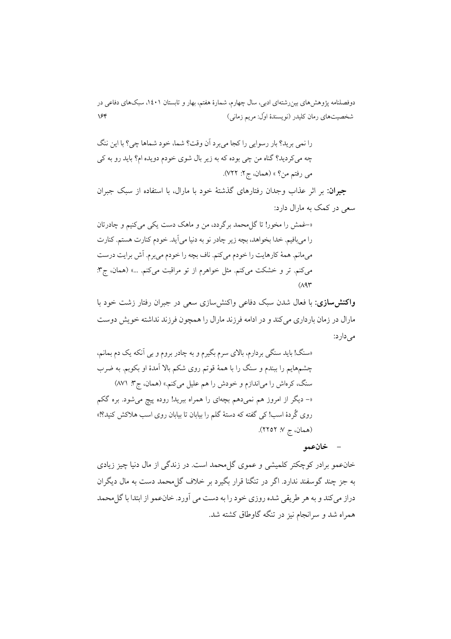دوفصلنامه پژوهشهای بین رشتهای ادبی، سال چهارم، شمارهٔ هفتم، بهار و تابستان ۱٤۰۱، سبکهای دفاعی در  $155$ شخصیتهای رمان کلیدر (نویسندهٔ اوّل: مریم زمانی)

را نمي بريد؟ بار رسوايي را كجا مي برد أن وقت؟ شما، خود شماها چي؟ با اين ننگ چه میکردید؟ گناه من چی بوده که به زیر بال شوی خودم دویده ام؟ باید رو به کی می رفتم من؟ » (همان، ج٢: ٧٢٢).

جبران: بر اثر عذاب وجدان رفتارهای گذشتهٔ خود با مارال، با استفاده از سبک جبران سعی در کمک به مارال دارد:

«خمش را مخور! تا گل محمد برگردد، من و ماهک دست یکی می کنیم و چادرتان را مي بافيم. خدا بخواهد، بچه زير چادر نو به دنيا مي آيد. خودم كنارت هستم. كنارت مي مانم. همهٔ كارهايت را خودم مي كنم. ناف بچه را خودم مي برم. آش برايت درست می کنم. تر و خشکت می کنم. مثل خواهرم از تو مراقبت می کنم. ...» (همان، ج٣:  $(\wedge$ 9٣

**واکنش سازی**: با فعال شدن سبک دفاعی واکنش سازی سعی در جبران رفتار زشت خود با مارال در زمان بارداری می کند و در ادامه فرزند مارال را همچون فرزند نداشته خویش دوست مے ردار د:

«سنگ! باید سنگی بردارم، بالای سرم بگیرم و به چادر بروم و بی آنکه یک دم بمانم، چشمهایم را ببندم و سنگ را با همهٔ قوتم روی شکم بالا آمدهٔ او بکوبم. به ضرب سنگ، کرهاش را میاندازم و خودش را هم علیل میکنم.» (همان، ج۳: ۸۷۱) «– دیگر از امروز هم نمیدهم بچهای را همراه ببرید! روده پیچ میشود. بره گکم روی گُردهٔ اسب! ک<sub>ی</sub> گفته که دستهٔ گلم را بیابان تا بیابان روی اسب هلاکش کنید؟!» (همان، ج V: ۲۲۵۲).

– خانءمو

خانءمو برادر کوچکتر کلمیشی و عموی گل.محمد است. در زندگی از مال دنیا چیز زیادی به جز چند گوسفند ندارد. اگر در تنگنا قرار بگیرد بر خلاف گل محمد دست به مال دیگران دراز می کند و به هر طریقی شده روزی خود را به دست می آورد. خانءمو از ابتدا با گل محمد همراه شد و سرانجام نیز در تنگه گاوطاق کشته شد.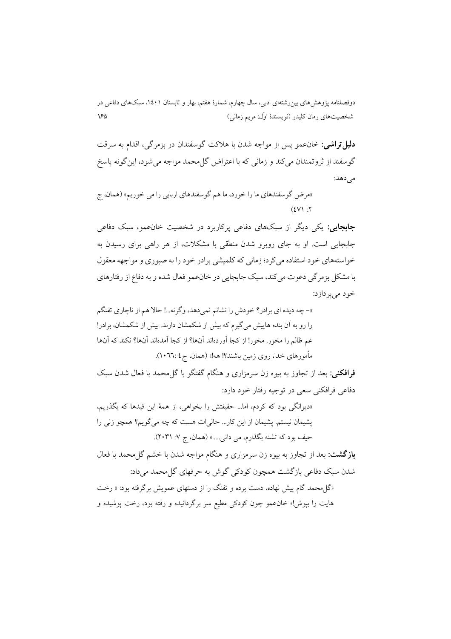دوفصلنامه پژوهشهای بین رشتهای ادبی، سال چهارم، شمارهٔ هفتم، بهار و تابستان ۱٤۰۱، سبکهای دفاعی در ١۶۵ شخصیتهای رمان کلیدر (نویسندهٔ اوّل: مریم زمانی)

**دلیل تراشی**: خانءمو پس از مواجه شدن با هلاکت گوسفندان در بزمرگی، اقدام به سرقت گوسفند از ثروتمندان میکند و زمانی که با اعتراض گلمحمد مواجه میشود، اینگونه پاسخ مى دهد:

«مرض گوسفندهای ما را خورد، ما هم گوسفندهای اربابی را می خوریم» (همان، ج  $(5V)$  .

**جابجایی**: یکی دیگر از سبکهای دفاعی پرکاربرد در شخصیت خانءمو، سبک دفاعی جابجایی است. او به جای روبرو شدن منطقی با مشکلات، از هر راهی برای رسیدن به خواستههای خود استفاده می کرد؛ زمانی که کلمیشی برادر خود را به صبوری و مواجهه معقول با مشکل بزمرگی دعوت می کند، سبک جابجایی در خانءمو فعال شده و به دفاع از رفتارهای خود مي پردازد:

«- چه دیده ای برادر؟ خودش را نشانم نمیدهد، وگرنه...! حالا هم از ناچاری تفنگم را رو به آن بنده هاییش میگیرم که بیش از شکمشان دارند. بیش از شکمشان، برادر! غم ظالم را مخور. مخور! از كجا أوردهاند أنها؟ از كجا أمدهاند أنها؟ نكند كه أنها مأمورهاي خداً، روى زمين باشند؟! هه!» (همان، ج٤ :١٠٦٦).

**فرافکنی:** بعد از تجاوز به بیوه زن سرمزاری و هنگام گفتگو با گل۵محمد با فعال شدن سبک دفاعي فرافكني سعى در توجيه رفتار خود دارد:

«دیوانگی بود که کردم، اما... حقیقتش را بخواهی، از همهٔ این قیدها که بگذریم، پشیمان نیستم. پشیمان از این کار... حالیات هست که چه میگویم؟ همچو زنی را حیف بود که تشنه بگذارم، می دانی.....» (همان، ج ۷: ۲۰۳۱).

**بازگشت**: بعد از تجاوز به بیوه زن سرمزاری و هنگام مواجه شدن با خشم گلءحمد با فعال شدن سبک دفاعی بازگشت همچون کو دکی گوش به حرفهای گل محمد می داد: «گل محمد گام پیش نهاده، دست برده و تفنگ را از دستهای عمویش برگرفته بود: « رخت

هايت را بيوش!» خانءمو چون كودكي مطيع سر برگردانيده و رفته بود، رخت يوشيده و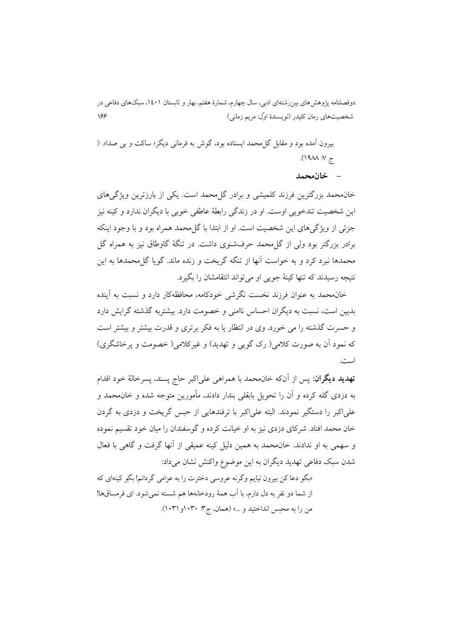دوفصلنامه پژوهشهای بین رشتهای ادبی، سال چهارم، شمارهٔ هفتم، بهار و تابستان ۱٤۰۱، سبکهای دفاعی در 188 شخصیتهای رمان کلیدر (نویسندهٔ اوّل: مریم زمانی)

بیرون آمده بود و مقابل گل محمد ایستاده بود، گوش به فرمانی دیگر؛ ساکت و بی صدا». (  $(19)$  XV  $\gamma$ 

– خان،حمد

خان.محمد بزرگترین فرزند کلمیشی و برادر گل محمد است. یکی از بارزترین ویژگی های این شخصیت تندخویی اوست. او در زندگی رابطهٔ عاطفی خوبی با دیگران ندارد و کینه نیز جزئي از ويژگي هاي اين شخصيت است. او از ابتدا با گل محمد همراه بود و با وجود اينكه برادر بزرگتر بود ولی از گل محمد حرفشنوی داشت. در تنگهٔ گاوطاق نیز به همراه گل محمدها نبرد کرد و به خواست آنها از تنگه گریخت و زنده ماند. گویا گل،حمدها به این نتيجه رسيدند كه تنها كينهٔ جويب او مي تواند انتقامشان را بگيرد.

خان.محمد به عنوان فرزند نخست نگرشی خودکامه، محافظهکار دارد و نسبت به آینده بدبین است، نسبت به دیگران احساس ناامنی و خصومت دارد. بیشتربه گذشته گرایش دارد و حسرت گذشته را می خورد. وی در انتظار یا به فکر برتری و قدرت بیشتر و بیشتر است که نمود آن به صورت کلامی( رک گویی و تهدید) و غیرکلامی( خصومت و یرخاشگری) است.

**تهدید دیگران**: پس از آنکه خانهحمد با همراهی علیاکبر حاج پسند، پسرخالهٔ خود اقدام به دزدی گله کرده و آن را تحویل بابقلی بندار دادند، مأمورین متوجه شده و خان.حمد و علي[كير را دستگير نمودند. البته علي[كير يا ترفندهايي از حسن گريخت و دزدي به گردن خان محمد افتاد. شرکای دزدی نیز به او خیانت کرده و گوسفندان را میان خود تقسیم نموده و سهمي به او ندادند. خانِّمحمد به همين دليل كينه عميقي از آنها گرفت و گاهي با فعال شدن سبک دفاعی تھدید دیگران به این موضوع واکنش نشان می داد:

«بگو دعاکن بیرون نیایم وگرنه عروسی دخترت را به عزامی گردانم! بگو کینهای که از شما دو نفر به دل دارم، با آب همهٔ رودخانهها هم شسته نمي شود. اي قرمساقها! من را به محبس انداختید و ...» (همان، ج٣: ١٠٣٠او ١٠٣١).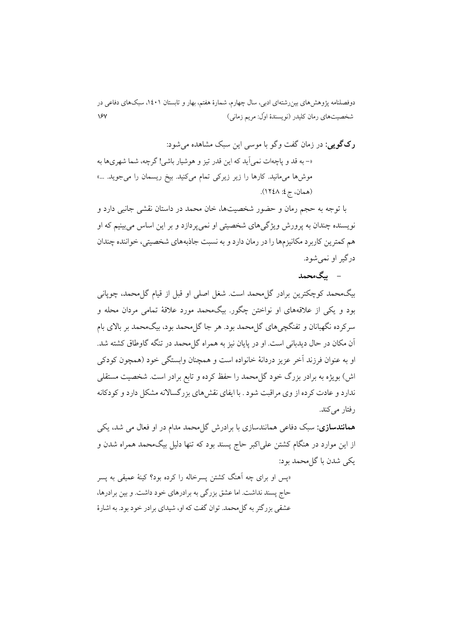دوفصلنامه پژوهشهای بین رشتهای ادبی، سال چهارم، شمارهٔ هفتم، بهار و تابستان ۱٤۰۱، سبکهای دفاعی در **ISV** شخصیتهای رمان کلیدر (نویسندهٔ اوّل: مریم زمانی)

رکگویی: در زمان گفت وگو با موسی این سبک مشاهده می شود:

«– به قد و پاچهات نمي آيد كه اين قدر تيز و هوشيار باشي! گرچه، شما شهريها به موشها می مانید. کارها را زیر زیرکی تمام میکنید. بیخ ریسمان را می جوید. ...» (همان، ج ٤: ١٢٤٨).

با توجه به حجم رمان و حضور شخصیتها، خان محمد در داستان نقشی جانبی دارد و نویسنده چندان به پرورش ویژگیهای شخصیتی او نمی پردازد و بر این اساس می بینیم که او هم کمترین کاربرد مکانیزمها را در رمان دارد و به نسبت جاذبههای شخصیتی، خواننده چندان درگير او نمي شود.

- ىگەىجمد

بیگ،حمد کوچکترین برادر گا,محمد است. شغل اصلی او قبل از قیام گل،حمد، چوپانی بود و یکی از علاقههای او نواختن چگور. بیگهحمد مورد علاقهٔ تمامی مردان محله و سرکرده نگهبانان و تفنگچی های گل محمد بود. هر جا گل محمد بود، بیگ محمد بر بالای بام اّن مکان در حال دیدبانی است. او در پایان نیز به همراه گلمحمد در تنگه گاوطاق کشته شد. او به عنوان فرزند اّخر عزیز دردانهٔ خانواده است و همچنان وابستگی خود (همچون کودکی اش) بویژه به برادر بزرگ خود گل•حمد را حفظ کرده و تابع برادر است. شخصیت مستقلی ندارد و عادت کرده از وی مراقبت شود . با ایفای نقش های بزرگسالانه مشکل دارد و کودکانه رفتار میکند.

همانندسازی: سبک دفاعی همانندسازی با برادرش گلمحمد مدام در او فعال می شد، یکی از این موارد در هنگام کشتن علی|کبر حاج پسند بود که تنها دلیل بیگەمحمد همراه شدن و يکي شدن با گل محمد بود:

«پس او برای چه آهنگ کشتن پسرخاله را کرده بود؟ کینهٔ عمیقی به پسر حاج پسند نداشت. اما عشق بزرگی به برادرهای خود داشت. و بین برادرها، عشقی بزرگتر به گل محمد. توان گفت که او، شیدای برادر خود بود. به اشارهٔ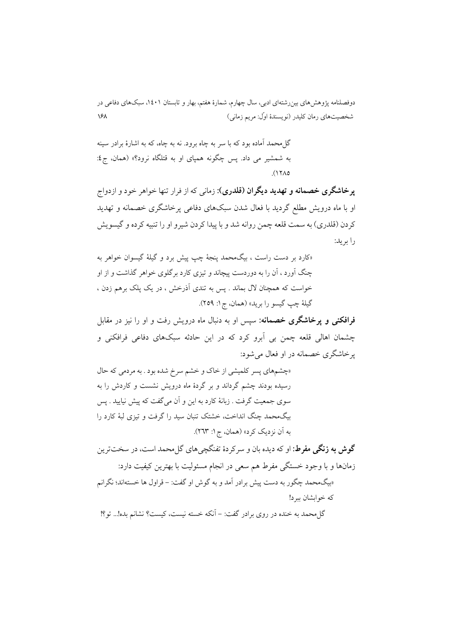دوفصلنامه پژوهشهای بین رشتهای ادبی، سال چهارم، شمارهٔ هفتم، بهار و تابستان ۱٤۰۱، سبکهای دفاعی در ١۶λ شخصيتهاي رمان كليدر (نويسندهٔ اوّل: مريم زماني)

گا محمد آماده بود که با سر به چاه برود. نه به چاه، که به اشارهٔ برادر سبنه به شمشیر می داد. پس چگونه همپای او به قتلگاه نرود؟» (همان، ج٤:  $(17A<sub>0</sub>)$ 

**یرخاشگری خصمانه و تهدید دیگران (قلدری)**: زمانی که از فرار تنها خواهر خود و ازدواج او با ماه درویش مطلع گردید با فعال شدن سبکهای دفاعی پرخاشگری خصمانه و تهدید کردن (قلدري) به سمت قلعه چمن روانه شد و با پيدا کردن شيړو او را تنبيه کرده و گيسويش را بريد:

«کارد بر دست راست ، بیگ0حمد پنجهٔ چب پیش برد و گیلهٔ گیسوان خواهر به چنگ آورد ، آن را به دوردست پیچاند و تیزی کارد بر گلوی خواهر گذاشت و از او خواست که همچنان لال بماند . پس به تندی آذرخش ، در یک پلک برهم زدن ، گيلهٔ چپ گيسو را بريد» (همان، ج۱: ٢٥٩).

<mark>فرافکنی و پرخاشگری خصمانه:</mark> سیس او به دنبال ماه درویش رفت و او را نیز در مقابل چشمان اهالی قلعه چمن پی آبرو کرد که در این حادثه سبکهای دفاعی فرافکنی و یر خاشگری خصمانه در او فعال می شود:

«چشمهای پسر کلمیشی از خاک و خشم سرخ شده بود . به مردمی که حال رسیده بودند چشم گرداند و بر گردهٔ ماه درویش نشست و کاردش را به سوی جمعیت گرفت . زبانهٔ کارد به این و آن میگفت که پیش نیایید . پس بیگەحمد چنگ انداخت، خشتک تنبان سید را گرفت و تیزی لبهٔ کارد را به آن نزدیک کرد» (همان، ج ۱: ٢٦٣).

**گوش به زنگی مفرط:** او که دیده بان و سرکردهٔ تفنگچی های گل محمد است، در سختترین زمانها و با وجود خستگی مفرط هم سعی در انجام مسئولیت با بهترین کیفیت دارد: «بیگەحمد چگور به دست پیش برادر آمد و به گوش او گفت: -قراول ها خستهاند؛ نگرانم كه خوابشان ببرد!

گا محمد به خنده در روی برادر گفت: - آنکه خسته نیست، کیست؟ نشانم بده!... تو؟!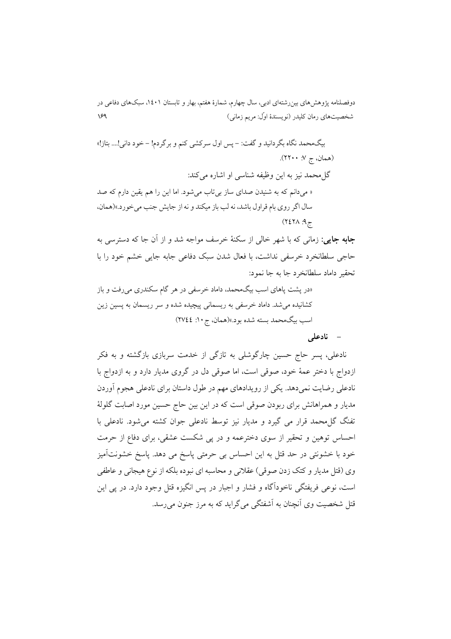دوفصلنامه پژوهشهای بین رشتهای ادبی، سال چهارم، شمارهٔ هفتم، بهار و تابستان ۱٤۰۱، سبکهای دفاعی در ١۶٩ شخصیتهای رمان کلیدر (نویسندهٔ اوّل: مریم زمانی)

بيگ محمد نگاه بگردانيد و گفت: - پس اول سركشي كنم و برگردم! - خود داني!.... بتاز!» (همان، ج ۷: ۲۲۰۰). گل محمد نیز به این وظیفه شناسی او اشاره می کند: « می دانم که به شنیدن صدای ساز بی تاب می شود. اما این را هم یقین دارم که صد سال اگر روی بام قراول باشد، نه لب باز میکند و نه از جایش جنب می خورد.»(همان،  $(727A.97)$ 

**جابه جایی**: زمانی که با شهر خالی از سکنهٔ خرسف مواجه شد و از آن جا که دسترسی به حاجی سلطانخرد خرسفی نداشت، با فعال شدن سبک دفاعی جابه جایی خشم خود را با تحقير داماد سلطانخرد جا به جا نمود:

«در یشت یاهای اسب بیگ0حمد، داماد خرسفی در هر گام سکندری می رفت و باز کشانیده می شد. داماد خرسفی به ریسمانی پیچیده شده و سر ریسمان به پسین زین اسب بيگ0حمد بسته شده بود.»(همان، ج ۱۰: ٢٧٤٤)

- نادعلى

.<br>نادعلی، پسر حاج حسین چارگوشلی به تازگی از خدمت سربازی بازگشته و به فکر ازدواج با دختر عمهٔ خود، صوقی است، اما صوقی دل در گروی مدیار دارد و به ازدواج با نادعلی رضایت نمی دهد. یکی از رویدادهای مهم در طول داستان برای نادعلی هجوم آوردن مدیار و همراهانش برای ربودن صوفی است که در این بین حاج حسین مورد اصابت گلولهٔ تفنگ گل محمد قرار می گیرد و مدیار نیز توسط نادعلی جوان کشته می شود. نادعلی با احساس توهین و تحقیر از سوی دخترعمه و در پی شکست عشقی، برای دفاع از حرمت خود با خشونتی در حد قتل به این احساس بی حرمتی پاسخ می دهد. پاسخ خشونتآمیز وي (قتل مديار و كتك زدن صوقي) عقلاني و محاسبه اي نبوده بلكه از نوع هيجاني و عاطفي است، نوعی فریفتگی ناخودآگاه و فشار و اجبار در پس انگیزه قتل وجود دارد. در پی این قتل شخصیت وی آنچنان به آشفتگی می گراید که به مرز جنون می رسد.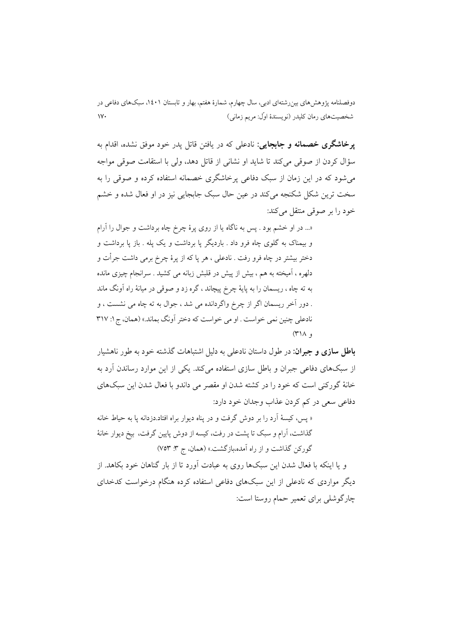دوفصلنامه پژوهشهای بین رشتهای ادبی، سال چهارم، شمارهٔ هفتم، بهار و تابستان ۱٤۰۱، سبکهای دفاعی در  $\mathsf{v}$ شخصیتهای رمان کلیدر (نویسندهٔ اوّل: مریم زمانی)

**پرخاشگری خصمانه و جابجایی**: نادعل<sub>ی</sub> که در یافتن قاتل پدر خود موفق نشده، اقدام به سؤال كردن از صوقى مى كند تا شايد او نشانى از قاتل دهد، ولى با استقامت صوقى مواجه می شود که در این زمان از سبک دفاعی پرخاشگری خصمانه استفاده کرده و صوفی را به سخت ترین شکل شکنجه میکند در عین حال سبک جابجایی نیز در او فعال شده و خشم خود را بر صوفی منتقل می کند:

«... در او خشم بود . پس به ناگاه یا از روی پرهٔ چرخ چاه برداشت و جوال را آرام و بیمناک به گلوی چاه فرو داد . باردیگر پا برداشت و یک پله . باز پا برداشت و دختر بیشتر در چاه فرو رفت . نادعلی ، هر پا که از پرهٔ چرخ برمی داشت جرأت و دلهره ، آمیخته به هم ، بیش از پیش در قلبش زبانه می کشید . سرانجام چیزی مانده به ته چاه ، ریسمان را به پایهٔ چرخ پیچاند ، گره زد و صوقی در میانهٔ راه آونگ ماند . دور آخر ریسمان اگر از چرخ واگردانده می شد ، جوال به ته چاه می نشست ، و نادعلی چنین نمی خواست . او می خواست که دختر آونگ بماند.» (همان، ج ۱: ۳۱۷ 

**باطل سازی و جبران**: در طول داستان نادعلی به دلیل اشتباهات گذشته خود به طور ناهشیار از سبکهای دفاعی جبران و باطل سازی استفاده میکند. یکی از این موارد رساندن آرد به خانهٔ گورکنی است که خود را در کشته شدن او مقصر می داندو با فعال شدن این سبکهای دفاعي سعي در كم كردن عذاب وجدان خود دارد:

« پس، کیسهٔ آرد را بر دوش گرفت و در پناه دیوار براه افتاد.دزدانه پا به حیاط خانه گذاشت، آرام و سبک تا پشت در رفت، کیسه از دوش پایین گرفت، بیخ دیوار خانهٔ گورکن گذاشت و از راه آمده،بازگشت.» (همان، ج ۳: ۷۵۳)

و یا اینکه با فعال شدن این سبکها روی به عبادت آورد تا از بار گناهان خود بکاهد. از دیگر مواردی که نادعلی از این سبکهای دفاعی استفاده کرده هنگام درخواست کدخدای چارگوشلی برای تعمیر حمام روستا است: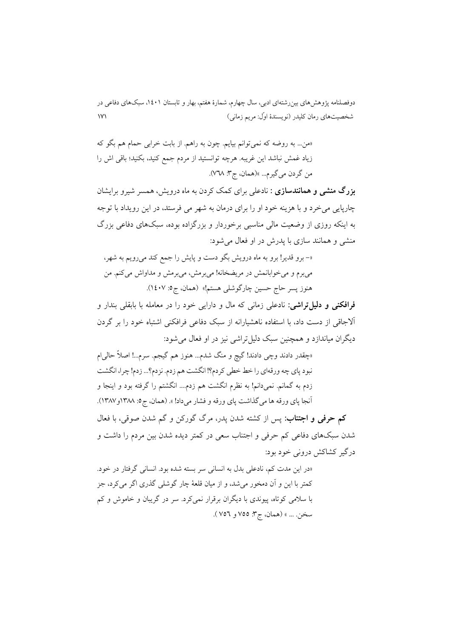دوفصلنامه پژوهشهای بین رشتهای ادبی، سال چهارم، شمارهٔ هفتم، بهار و تابستان ۱٤۰۱، سبکهای دفاعی در  $\mathsf{V}$ شخصیتهای رمان کلیدر (نویسندهٔ اوّل: مریم زمانی)

«من… به روضه كه نمىٍتوانم بيايم. چون به راهم. از بابت خرابى حمام هم بگو كه زياد غمش نباشد اين غريبه. هرچه توانستيد از مردم جمع كنيد، بكنيد؛ باقي اش را من گردن مي گيرم... »(همان، ج٣. ٧٦٨).

**بزرگ منشی و همانندسازی** : نادعلی برای کمک کردن به ماه درویش، همسر شیرو برایشان چاریایی می خرد و با هزینه خود او را برای درمان به شهر می فرستد، در این رویداد با توجه به اینکه روزی از وضعیت مالی مناسبی برخوردار و بزرگزاده بوده، سبکهای دفاعی بزرگ منشی و همانند سازی با پدرش در او فعال می شود:

«- برو قدیر! برو به ماه درویش بگو دست و پایش را جمع کند می رویم به شهر، می برم و می خوابانمش در مریضخانه! می برمش، می برمش و مداواش می کنم. من هنوز يسر حاج حسين چارگوشلي هستم!» (همان، ج0: ١٤٠٧).

<mark>فرافکنی و دلیل تراشی:</mark> نادعلی زمانی که مال و دارایی خود را در معامله با بابقلی بندار و آلاجاقی از دست داد، با استفاده ناهشبارانه از سبک دفاعی فرافکنی اشتباه خود را بر گردن دیگران میاندازد و همچنین سبک دلیل تراشی نیز در او فعال می شود:

«چقدر دادند وچي دادند! گيچ و منگ شدم... هنوز هم گيجم. سرم...! اصلاً حالي ام نبود پاي چه ورقهاي را خط خطي كردم؟! انگشت هم زدم. نزدم؟... زدم! چرا، انگشت زدم به گمانم. نمیدانم! به نظرم انگشت هم زدم... انگشتم را گرفته بود و اینجا و آنجا پای ورقه ها میگذاشت پای ورقه و فشار میداد! ». (همان، ج ٥: ١٣٨٧و ١٣٨٧). **کم حرفی و اجتناب**: پس از کشته شدن پدر، مرگ گورکن و گم شدن صوقی، با فعال شدن سبکهای دفاعی کم حرفی و اجتناب سعی در کمتر دیده شدن بین مردم را داشت و درگېر کشاکش درونې خود بود:

«در اين مدت كم، نادعلى بدل به انساني سر بسته شده بود. انساني گرفتار در خود. کمتر با این و آن دمخور می شد، و از میان قلعهٔ چار گوشلی گذری اگر میکرد، جز با سلامی کوتاه، پیوندی با دیگران برقرار نمی کرد. سر در گریبان و خاموش و کم سخن. ... » (همان، ج٣: ٧٥٥ و ٧٥٦ ).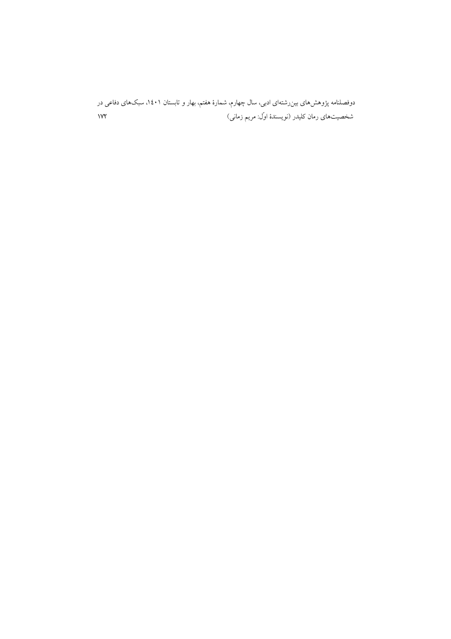دوفصلنامه پژوهش۵ای بین٫شتهای ادبی، سال چهارم، شمارهٔ هفتم، بهار و تابستان ۱٤۰۱، سبکهای دفاعی در شخصیتهای رمان کلیدر (نویسندهٔ اوّل: مریم زمانی)  $\mathsf{V}\mathsf{Y}$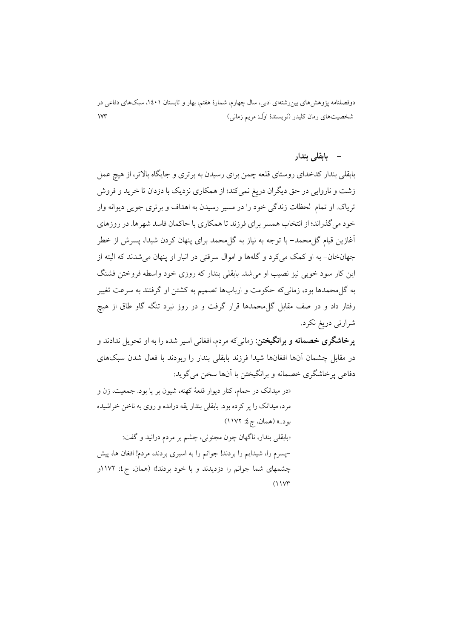دوفصلنامه پژوهشهای بین رشتهای ادبی، سال چهارم، شمارهٔ هفتم، بهار و تابستان ۱٤۰۱، سبکهای دفاعی در  $\mathsf{v}$ شخصیتهای رمان کلیدر (نویسندهٔ اوّل: مریم زمانی)

# – بابقلی بندار

بابقلی بندار کدخدای روستای قلعه چمن برای رسیدن به برتری و جایگاه بالاتر، از هیچ عمل زشت و ناروایی در حق دیگران دریغ نمیکند؛ از همکاری نزدیک با دزدان تا خرید و فروش ترياک. او تمام لحظات زندگي خود را در مسير رسيدن به اهداف و بر ترې جويې ديوانه وار خود می گذراند؛ از انتخاب همسر برای فرزند تا همکاری با حاکمان فاسد شهرها. در روزهای ۔<br>آغازین قیام گل محمد– با توجه به نیاز به گل محمد برای پنهان کردن شیدا، پسرش از خطر جهانخان– به او کمک می کرد و گلهها و اموال سرقتی در انبار او پنهان می شدند که البته از این کار سود خوبی نیز نصیب او می شد. بابقلی بندار که روزی خود واسطه فروختن فشنگ به گل•حمدها بود، زمانیکه حکومت و اربابها تصمیم به کشتن او گرفتند به سرعت تغییر رفتار داد و در صف مقابل گلءحمدها قرار گرفت و در روز نبرد تنگه گاو طاق از هیچ شرارتي دريغ نكرد.

**یرخاشگری خصمانه و برانگیختن**: زمانی که مردم، افغانی اسیر شده را به او تحویل ندادند و در مقابل چشمان آنها افغانها شیدا فرزند بابقلی بندار را ربودند با فعال شدن سبکهای دفاعي پر خاشگري خصمانه و برانگيختن با آنها سخن مي گويد:

«در میدانک در حمام، کنار دیوار قلعهٔ کهنه، شیون بر یا بود. جمعیت، زن و مرد، میدانک را پر کرده بود. بابقلی بندار یقه درانده و روی به ناخن خراشیده بود..» (همان، ج٤: ١١٧٢) «بابقلي بندار، ناگهان چون مجنوني، چشم بر مردم درانيد و گفت: –پسرم را، شیدایم را بردند! جوانم را به اسیری بردند، مردم! افغان ها، پیش چشمهای شما جوانم را دزدیدند و با خود بردند!» (همان، ج٤: ١١٧٢و

 $(11)$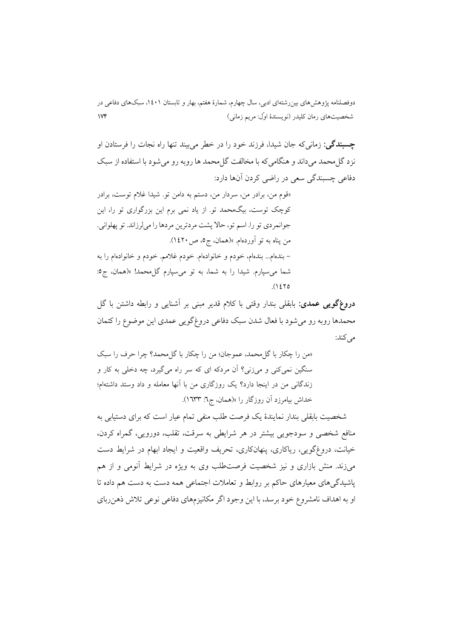دوفصلنامه پژوهشهای بین رشتهای ادبی، سال چهارم، شمارهٔ هفتم، بهار و تابستان ۱٤۰۱، سبکهای دفاعی در ١V۴ شخصیتهای رمان کلیدر (نویسندهٔ اوّل: مریم زمانی)

**حِسبندگی**: زمانی که جان شیدا، فرزند خود را در خطر میبیند تنها راه نجات را فرستادن او نزد گل محمد می داند و هنگامی که با مخالفت گل محمد ها روبه رو می شود با استفاده از سبک دفاعي چسبندگي سعي در راضي کړدن آنها دارد:

«قوم من، برادر من، سردار من، دستم به دامن تو. شیدا غلام توست، برادر کوچک توست، بیگەمحمد تو. از یاد نمی برم این بزرگواری تو را، این جوانمردي تو را اسم تو، حالا پشت مردترين مردها را مي لرزاند. تو پهلواني. من يناه به تو آوردهام. »(همان، ج0، ص١٤٢٠). – بندهام... بندهام، خودم و خانوادهام. خودم غلامم. خودم و خانوادهام را به شما می سیارم. شیدا را به شما، به تو می سیارم گلمحمد! »(همان، ج٥:  $(1270$ 

دروغگویی عمدی: بابقلی بندار وقتی با کلام قدیر مبنی بر آشنایی و رابطه داشتن با گا<sub>،</sub> محمدها روبه رو می شود با فعال شدن سبک دفاعی دروغ گویی عمدی این موضوع را کتمان مي کند:

«من را چکار با گل محمد، عموجان؛ من را چکار با گل محمد؟ چرا حرف را سبک سنگین نمی کنی و می زنی؟ آن مردکه ای که سر راه می گیرد، چه دخلی به کار و زندگانی من در اینجا دارد؟ یک روزگاری من با آنها معامله و داد وستد داشتهام؛ خداش بیامرزد آن روزگار را »(همان، ج7: ١٦٣٣).

شخصیت بابقلی بندار نمایندهٔ یک فرصت طلب منفی تمام عیار است که برای دستیابی به منافع شخصی و سودجویی بیشتر در هر شرایطی به سرقت، تقلب، دورویی، گمراه کردن، خیانت، دروغگویی، ریاکاری، پنهانکاری، تحریف واقعیت و ایجاد ابهام در شرایط دست می زند. منش بازاری و نیز شخصیت فرصتطلب وی به ویژه در شرایط آنومی و از هم یاشیدگی های معیارهای حاکم بر روابط و تعاملات اجتماعی همه دست به دست هم داده تا او به اهداف نامشروع خود برسد، با این وجود اگر مکانیزمهای دفاعی نوعی تلاش ذهن ربای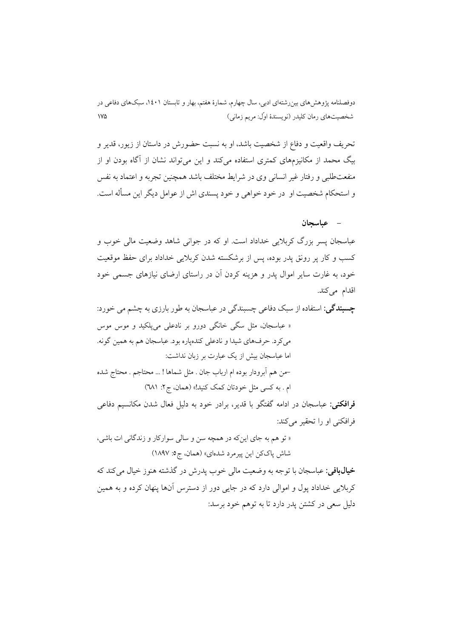دوفصلنامه پژوهشهای بین رشتهای ادبی، سال چهارم، شمارهٔ هفتم، بهار و تابستان ۱٤۰۱، سبکهای دفاعی در  $\mathsf{N}\mathsf{a}$ شخصیتهای رمان کلیدر (نویسندهٔ اوّل: مریم زمانی)

تحریف واقعیت و دفاع از شخصیت باشد، او به نسبت حضورش در داستان از زیور، قدیر و بیگ محمد از مکانیزمهای کمتری استفاده میکند و این میتواند نشان از آگاه بودن او از منفعت طلبي و رفتار غير انساني وي در شرايط مختلف باشد همچنين تجربه و اعتماد به نفس و استحکام شخصیت او در خود خواهی و خود پسندی اش از عوامل دیگر این مسأله است.

#### - عباسحان

عباسجان پسر بزرگ کربلایی خداداد است. او که در جوانی شاهد وضعیت مالی خوب و کسب و کار پر رونق پدر بوده، پس از برشکسته شدن کربلایی خداداد برای حفظ موقعیت خود، به غارت سایر اموال یدر و هزینه کردن آن در راستای ارضای نیازهای جسمی خود اقدام می کند.

چسبندگی: استفاده از سبک دفاعی چسبندگی در عباسجان به طور بارزی به چشم می خورد: « عباسجان، مثل سگی خانگی دورو بر نادعلی میپلکید و موس موس مي كرد. حرفهاي شيدا و نادعلي كندهپاره بود. عباسجان هم به همين گونه. اما عباسجان بیش از یک عبارت بر زبان نداشت: –من هم اَبرودار بوده ام ارباب جان . مثل شماها ! … محتاجم . محتاج شده ام . به کسی مثل خودتان کمک کنید!» (همان، ج۲: ٦٨١)

<mark>فرافکنی:</mark> عباسجان در ادامه گفتگو با قدیر، برادر خود به دلیل فعال شدن مکانسیم دفاع<sub>ی</sub> فرافكني او را تحقير مي كند:

« تو هم به جاي اين كه در همچه سن و سالي سواركار و زندگاني ات باشي، شاش پاککن این پیرمرد شدهای» (همان، ج ٥: ١٨٩٧)

خيالبافي: عباسجان با توجه به وضعيت مالي خوب يدرش در گذشته هنوز خيال مي كند كه کربلایی خداداد یول و اموالی دارد که در جایی دور از دسترس آنها پنهان کرده و به همین دلیل سعی در کشتن پدر دارد تا به توهم خود برسد: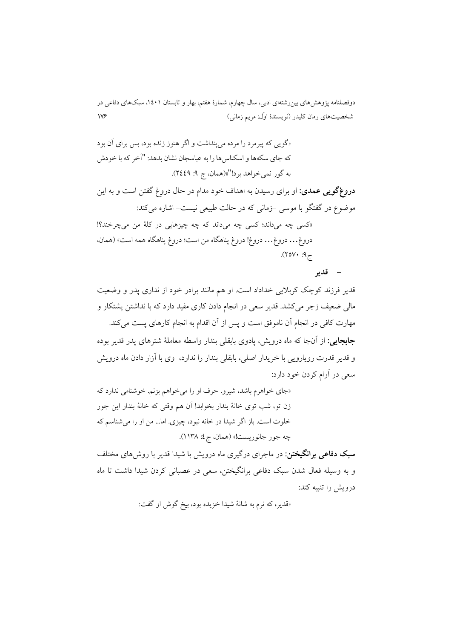دوفصلنامه پژوهشهای بین رشتهای ادبی، سال چهارم، شمارهٔ هفتم، بهار و تابستان ۱٤۰۱، سبکهای دفاعی در 188 شخصیتهای رمان کلیدر (نویسندهٔ اوّل: مریم زمانی)

«گویی که پیرمرد را مرده می پنداشت و اگر هنوز زنده بود، بس برای آن بود كه جاي سكهها و اسكناس ها را به عباسجان نشان بدهد: "أخر كه با خودش به گور نمي خواهد برد!"»(همان، ج ۹: ۲٤٤٩).

**دروغگویی عمدی**: او برای رسیدن به اهداف خود مدام در حال دروغ گفتن است و به این موضوع در گفتگو با موسی –زمانی که در حالت طبیعی نیست– اشاره می کند: «کسی چه می(داند؛ کسی چه می(داند که چه چیزهایی در کلهٔ من میچرخند؟! دروغ… دروغ… دروغ! دروغ پناهگاه من است؛ دروغ پناهگاه همه است» (همان،

$$
\mathcal{F}^{\rho:~\text{20V1}}
$$

– قدم

قدیر فرزند کوچک کربلایی خداداد است. او هم مانند برادر خود از نداری پدر و وضعیت مالی ضعیف زجر میکشد. قدیر سعی در انجام دادن کاری مفید دارد که با نداشتن پشتکار و مهارت کافی در انجام آن ناموفق است و پس از آن اقدام به انجام کارهای پست می کند. **جابجایی**: از آنجا که ماه درویش، یادوی بابقل<sub>ی</sub> بندار واسطه معاملهٔ شترهای یدر قدیر بوده و قدیر قدرت رویارویی با خریدار اصلی، بابقلی بندار را ندارد، وی با آزار دادن ماه درویش سعی در آرام کردن خود دارد:

«جای خواهرم باشد، شیرو. حرف او را می خواهم بزنم. خوشنامی ندارد که زن تو، شب توى خانة بندار بخوابد! أن هم وقتى كه خانة بندار اين جور خلوت است. باز اگر شیدا در خانه نبود، چیزی. اما... من او را میشناسم که چه جور جانوريست!» (همان، ج ٤: ١١٣٨).

**سبک دفاعی برانگیختن**: در ماجرای درگیری ماه درویش با شیدا قدیر با روش۵ای مختلف و به وسیله فعال شدن سبک دفاعی برانگیختن، سعی در عصبانی کردن شیدا داشت تا ماه درويش را تنبيه كند:

«قدير، كه نرم به شانهٔ شيدا خزيده بود، بيخ گوش او گفت: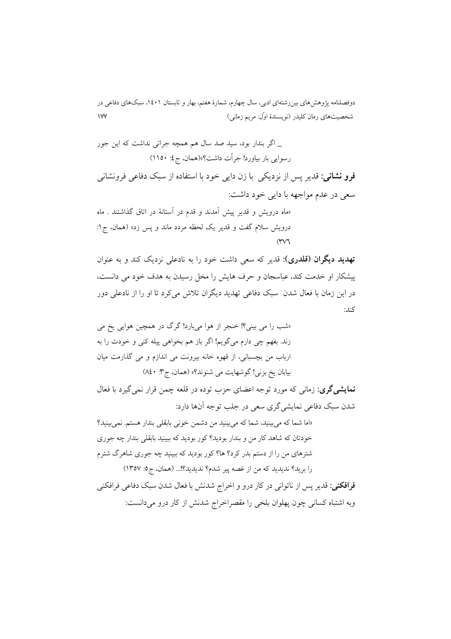دوفصلنامه پژوهشهای بین رشتهای ادبی، سال چهارم، شمارهٔ هفتم، بهار و تابستان ۱٤۰۱، سبکهای دفاعی در **IW** شخصیتهای رمان کلیدر (نویسندهٔ اوّل: مریم زمانی)

\_ اگر بندار بود، سید صد سال هم همچه جراتی نداشت که این جور رسوایی بار بیاورد! جرأت داشت؟»(همان، ج٤: ١١٥٠) فرو نشانی: قدیر پس از نزدیکی با زن دایی خود با استفاده از سبک دفاعی فرونشانی سعي در عدم مواجهه با دايي خود داشت:

«ماه درویش و قدیر پیش آمدند و قدم در آستانهٔ در اتاق گذاشتند . ماه درويش سلام گفت و قدير يک لحظه مردد ماند و پس زد» (همان، ج1:  $(1)$ 

**تهدید دیگران (قلدری)**: قدیر که سعی داشت خود را به نادعلی نزدیک کند و به عنوان پیشکار او خدمت کند، عباسجان و حرف هایش را مخل رسیدن به هدف خود می دانست، در این زمان با فعال شدن ً سبک دفاعی تهدید دیگران تلاش می کرد تا او را از نادعلی دور كند:

نمایشیگری: زمان<sub>ی</sub> که مورد توجه اعضای حزب توده در قلعه چمن قرار نمیگیرد با فعال شدن سبک دفاعی نمایشی گری سعی در جلب توجه آنها دارد:

«اما شما که می بینید، شما که می بینید من دشمن خونی بابقلی بندار هستم. نمی بینید؟ خودتان که شاهد کار من و بندار بودید؟ کور بودید که ببینید بابقلی بندار چه جوری شترهای من را از دستم بدر کرد؟ ها؟ کور بودید که ببینید چه جوری شاهرگ شترم را بريد؟ نديديد كه من از غصه پير شدم؟ نديديد؟!... (همان، ج٥: ١٣٥٧)

فرافکنی: قدیر پس از ناتوانی در کار درو و اخراج شدنش با فعال شدن سبک دفاعی فرافکنی وبه اشتباه كساني چون پهلوان بلخي را مقصراخراج شدنش از كار درو مىدانست: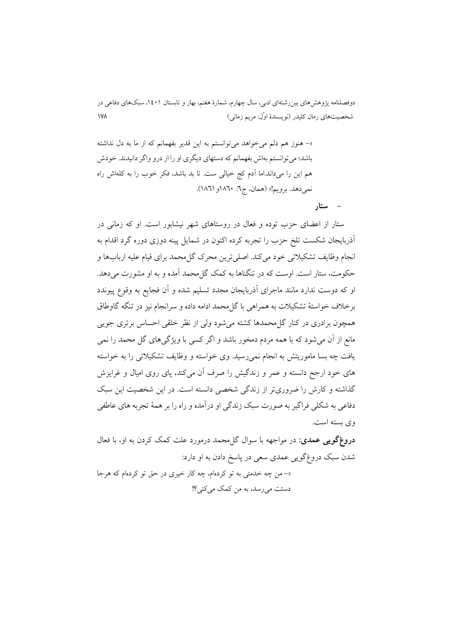دوفصلنامه پژوهشهای بین رشتهای ادبی، سال چهارم، شمارهٔ هفتم، بهار و تابستان ۱٤۰۱، سبکهای دفاعی در **IVA** شخصيتهاي رمان كليدر (نويسندهٔ اوّل: مريم زماني)

«– هنوز هم دلم می خواهد می توانستم به این قدیر بفهمانم که از ما به دل نداشته باشد؛ می توانستم بهاش بفهمانم که دستهای دیگری او را از درو واگر دانیدند. خودش هم این را میداند.اما آدم کج خیالی ست. تا بد باشد، فکر خوب را به کلهاش راه نمي دهد. برويم!» (همان، ج1: ١٨٦٠و ١٨٦١). ستار

ستار از اعضای حزب توده و فعال در روستاهای شهر نیشابور است. او که زمانی در اَذربایجان شکست تلخ حزب را تجربه کرده اکنون در شمایل پینه دوزی دوره گرد اقدام به انجام وظايف تشكيلاتي خود مي كند. اصلي ترين محرك گلءحمد براي قيام عليه اربابها و حکومت، ستار است. اوست که در تنگناها به کمک گلمحمد آمده و به او مشورت می دهد. او که دوست ندارد مانند ماجرای آذربایجان مجدد تسلیم شده و آن فجایع به وقوع پیوندد برخلاف خواستهٔ تشکیلات به همراهی با گل0محمد ادامه داده و سرانجام نیز در تنگه گاوطاق همچون برادری در کنار گل•حمدها کشته میشود ولی از نظر خلقی احساس برتری جویی مانع از آن می شود که با همه مردم دمخور باشد و اگر کسی با ویژگیهای گل محمد را نمی یافت چه بسا ماموریتش به انجام نمی رسید. وی خواسته و وظایف تشکیلاتی را به خواسته های خود ارجح دانسته و عمر و زندگیش را صرف آن میکند، یای روی امیال و غرایزش گذاشته و کارش را ضروریتر از زندگی شخصی دانسته است. در این شخصیت این سبک دفاعي به شکلي فراگير به صورت سبک زندگي او درآمده و راه را بر همهٔ تجربه هاي عاطفي وي بسته است.

**دروغگویی عمدی**: در مواجهه با سوال گل محمد درمورد علت کمک کردن به او، با فعال شدن سبک دروغگویی عمدی سعی در پاسخ دادن به او دارد:

«– من چه خدمتی به تو کردهام، چه کار خیری در حق تو کردهام که هرجا دستت مي رسد، به من كمک مي کني؟!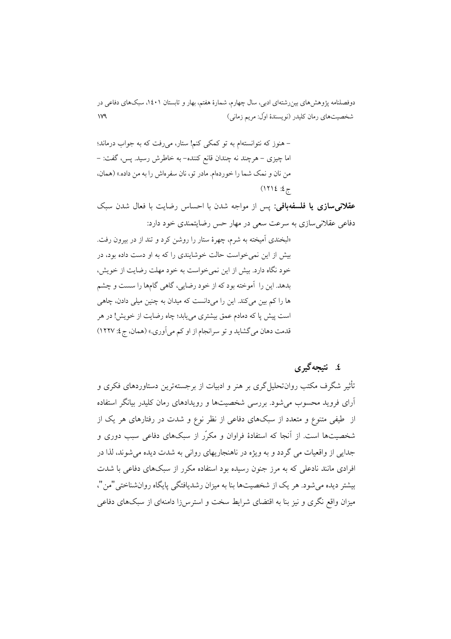دوفصلنامه پژوهشهای بین رشتهای ادبی، سال چهارم، شمارهٔ هفتم، بهار و تابستان ۱٤۰۱، سبکهای دفاعی در  $\gamma$ شخصیتهای رمان کلیدر (نویسندهٔ اوّل: مریم زمانی)

- هنوز که نتوانستهام به تو کمکی کنم! ستار، می رفت که به جواب درماند؛ اما چيزي – هرچند نه چندان قانع كننده– به خاطرش رسيد. پس، گفت: – من نان و نمک شما را خوردهام. مادر تو، نان سفرهاش را به من داده.» (همان،  $(1712 \pm 7)$ 

عقلانی سازی یا فلسفهبافی: پس از مواجه شدن با احساس رضایت با فعال شدن سبک دفاعي عقلاني سازي په سرعت سعي در مهار حس رضايتمندي خود دارد:

«لبخندي آميخته به شرم، چهرهٔ ستار را روشن کرد و تند از در بيرون رفت. بیش از این نمی خواست حالت خوشایندی را که به او دست داده بود، در خود نگاه دارد. بیش از این نمی خواست به خود مهلت رضایت از خویش، بدهد. این را آموخته بود که از خود رضایی، گاهی گامها را سست و چشم ها را کم بین می کند. این را میدانست که میدان به چنین میلی دادن، چاهی است پیش یا که دمادم عمق بیشتری می یابد؛ چاه رضایت از خویش! در هر قدمت دهان می گشاید و تو سرانجام از او کم می آوری.» (همان، ج ٤: ١٢٢٧)

٤. نتىجەگىرى

تأثیر شگرف مکتب روانتحلیلگری بر هنر و ادبیات از برجستهترین دستاوردهای فکری و آرای فروید محسوب میشود. بررسی شخصیتها و رویدادهای رمان کلیدر بیانگر استفاده از طیفی متنوع و متعدد از سبکهای دفاعی از نظر نوع و شدت در رفتارهای هر یک از شخصیتها است. از آنجا که استفادهٔ فراوان و مکرّر از سبکهای دفاعی سبب دوری و جدایی از واقعیات می گردد و به ویژه در ناهنجاریهای روانی به شدت دیده می شوند، لذا در افرادی مانند نادعلی که به مرز جنون رسیده بود استفاده مکرر از سبکهای دفاعی با شدت بیشتر دیده می شود. هر یک از شخصیتها بنا به میزان رشدیافتگی پایگاه روانشناختی "من "، میزان واقع نگری و نیز بنا به اقتضای شرایط سخت و استرس(را دامنهای از سبکهای دفاعی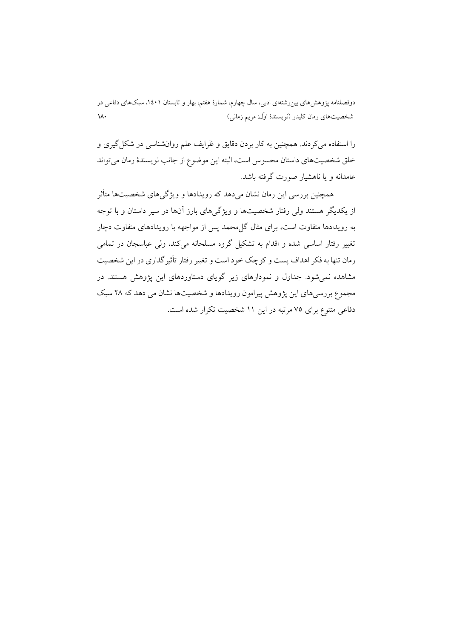دوفصلنامه پژوهش های بین رشتهای ادبی، سال چهارم، شمارهٔ هفتم، بهار و تابستان ۱٤۰۱، سبکهای دفاعی در  $\lambda$ شخصیتهای رمان کلیدر (نویسندهٔ اوّل: مریم زمانی)

را استفاده میکردند. همچنین به کار بردن دقایق و ظرایف علم روانشناسی در شکل گیری و خلق شخصیتهای داستان محسوس است، البته این موضوع از جانب نویسندهٔ رمان می تواند عامدانه و یا ناهشیار صورت گرفته باشد.

همچنین بررسی این رمان نشان میٖدهد که رویدادها و ویژگیِهای شخصیتها متأثر از یکدیگر هستند ولی رفتار شخصیتها و ویژگی های بارز آنها در سیر داستان و با توجه به رویدادها متفاوت است، برای مثال گلمحمد پس از مواجهه با رویدادهای متفاوت دچار تغییر رفتار اساسی شده و اقدام به تشکیل گروه مسلحانه میکند، ولی عباسجان در تمامی رمان تنها به فکر اهداف پست و کوچک خود است و تغییر رفتار تأثیر گذاری در این شخصیت مشاهده نمی شود. جداول و نمودارهای زیر گویای دستاوردهای این پژوهش هستند. در مجموع بررسی های این پژوهش پیرامون رویدادها و شخصیتها نشان می دهد که ۲۸ سبک دفاعی متنوع برای ۷۵ مرتبه در این ۱۱ شخصیت تکرار شده است.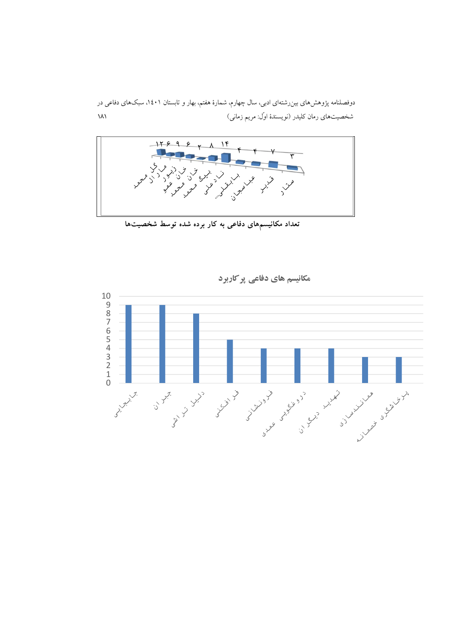دوفصلنامه پژوهش های بین رشتهای ادبی، سال چهارم، شمارهٔ هفتم، بهار و تابستان ۱٤۰۱، سبکهای دفاعی در ۱۸۱ شخصیتهای رمان کلیدر (نویسندهٔ اوّل: مریم زمانی)



تعداد مکانیسمهای دفاعی به کار برده شده توسط شخصیتها

مکانیسم های دفاعی پر کاربرد

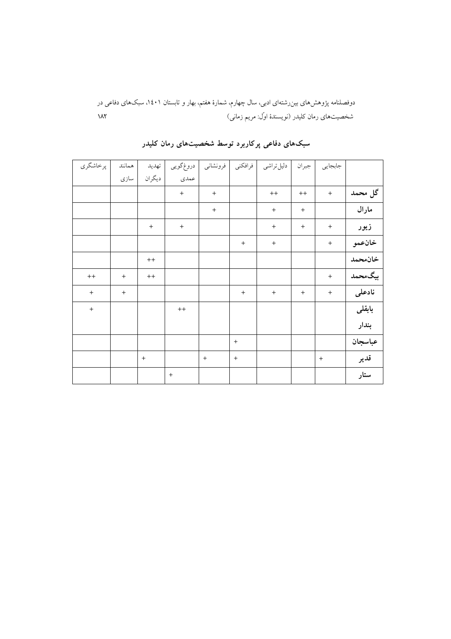دوفصلنامه پژوهش۵ای بین٫شتهای ادبی، سال چهارم، شمارهٔ هفتم، بهار و تابستان ۱٤۰۱، سبکهای دفاعی در  $\lambda$ شخصیتهای رمان کلیدر (نویسندهٔ اوّل: مریم زمانی)

| پرخاشگري         | همانند | تهديد   | دروغگويي          | ورنشانى گ                        | فرافكنى | دليل تراشى | جبران             | جابجايي           |         |
|------------------|--------|---------|-------------------|----------------------------------|---------|------------|-------------------|-------------------|---------|
|                  | سازى   | ديگران  | عمدى              |                                  |         |            |                   |                   |         |
|                  |        |         | $+$               | $+$                              |         | $^{++}$    | $^{++}$           | $+$               | گل محمد |
|                  |        |         |                   | $\begin{array}{c} + \end{array}$ |         | $+$        | $\qquad \qquad +$ |                   | مارال   |
|                  |        | $+$     | $\qquad \qquad +$ |                                  |         | $\ddot{}$  | $\qquad \qquad +$ | $+$               | زيور    |
|                  |        |         |                   |                                  | $+$     | $+$        |                   | $\boldsymbol{+}$  | خانءمو  |
|                  |        | $^{++}$ |                   |                                  |         |            |                   |                   | خان،حمد |
| $\pmb{++}$       | $+$    | $^{++}$ |                   |                                  |         |            |                   | $+$               | بیگەحمد |
| $\boldsymbol{+}$ | $+$    |         |                   |                                  | $+$     | $+$        | $+$               | $+$               | نادعلى  |
| $\boldsymbol{+}$ |        |         | $+ +$             |                                  |         |            |                   |                   | بابقلى  |
|                  |        |         |                   |                                  |         |            |                   |                   | بندار   |
|                  |        |         |                   |                                  | $+$     |            |                   |                   | عباسجان |
|                  |        | $+$     |                   | $+$                              | $+$     |            |                   | $\qquad \qquad +$ | قدير    |
|                  |        |         | $\qquad \qquad +$ |                                  |         |            |                   |                   | ستار    |

سبکهای دفاعی پرکاربرد توسط شخصیتهای رمان کلیدر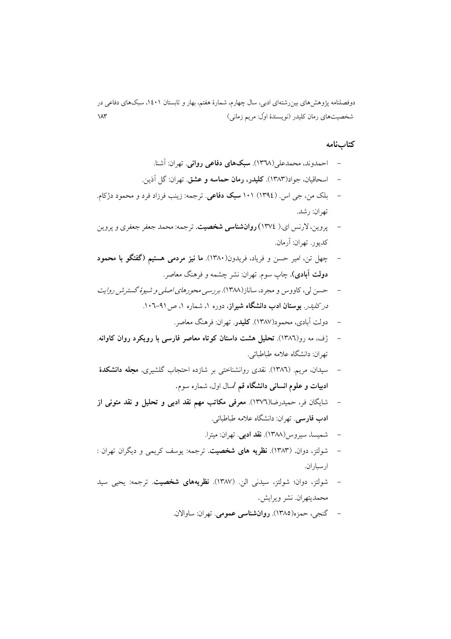دوفصلنامه پژوهشهای بین رشتهای ادبی، سال چهارم، شمارهٔ هفتم، بهار و تابستان ۱٤۰۱، سبکهای دفاعی در شخصیتهای رمان کلیدر (نویسندهٔ اوّل: مریم زمانی)  $\lambda x^2$ 

# كتابنامه

- احمدوند، محمدعلي(١٣٦٨). **سبکهاي دفاعي رواني**. تهران: آشنا.
- اسحاقیان، جواد(۱۳۸۳). کلیدر، رمان حماسه و عشق تهران: گل آذین.
- بلک من، جي اس. (١٣٩٤) ١٠١ **سبک دفاعي**. ترجمه: زينب فرزاد فرد و محمود دژکام. تهران: رشد.
- پروین، لارنس ای.( ۱۳۷٤) **روانشناسی شخصیت**. ترجمه: محمد جعفر جعفری و پروین  $\overline{a}$ كديور. تهران: آرمان.
- چهل تن، امیر حسن و فریاد، فریدون(۱۳۸۰). ما نیز مردمی هستیم (گفتگو با محمود دولت آبادي). چاپ سوم. تهران: نشر چشمه و فرهنگ معاصر.
- حسن لي، كاووس و مجرد، ساناز(١٣٨٨). بررسي محورهاي اصلي و شيوهُ گسترش روايت *در کلیدر.* ب**وستان ادب دانشگاه شیراز**، دوره ۱، شماره ۱، ص۱۰۵–۱۰۲.
	- دولت آبادي، محمود(١٣٨٧). كليدر. تهران: فرهنگ معاصر.
- ژف، مه رو(١٣٨٦). تحليل هشت داستان كوتاه معاصر فارسي با رويكرد روان كاوانه. تهران: دانشگاه علامه طباطبائي.
- سیدان، مریم. (۱۳۸٦). نقدی روانشناختی بر شازده احتجاب گلشیری. م**جله دانشکدهٔ** ادبیات و علوم انسانی دانشگاه قم /سال اول، شماره سوم.
- شایگان فر، حمیدرضا(١٣٧٦). معرفی مکاتب مهم نقد ادبی و تحلیل و نقد متونی از  $\overline{\phantom{a}}$ **ادب فارسي**. تهران: دانشگاه علامه طباطبائي.
	- شميسا، سيروس (١٣٨٨). **نقد ادبي**. تهران: ميترا.
- شولتز، دوان. (۱۳۸۳). **نظریه های شخصیت**. ترجمه: یوسف کریمی و دیگران تهران : ارسباران.
- شولتز، دوان؛ شولتز، سیدنی الن. (١٣٨٧). نظریههای شخصیت. ترجمه: یحیی سید  $\sim$ محمديتهران. نشر ويرايش.
	- گنجي، حمزه(١٣٨٥). **روانشناسي عمومي**. تهران: ساوالان.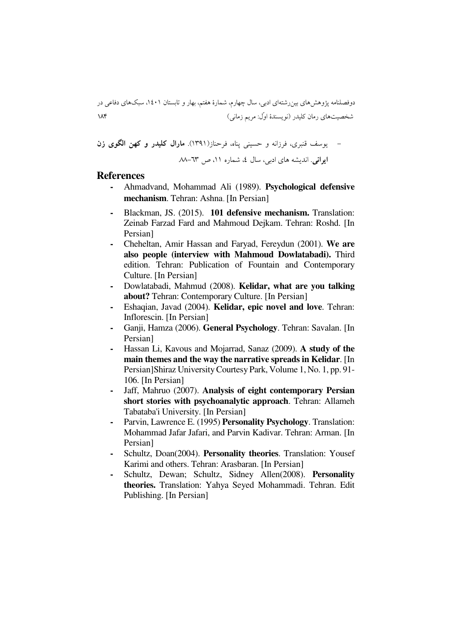8 9 7)\* +1401 I\$ ; A\$ +
B O 3 += A@ M \* \$+ % \$' DE % ,!9 184 (  
 :MZ O,I ) ! 

 **0V ,= < = '** .(1391) ,\_9 +" , ,I\_ % 9 +),6 \* - 63-88. { +11 " 3 +4 M \* +\$ %- .**L**

# **References**

- **-** Ahmadvand, Mohammad Ali (1989). **Psychological defensive mechanism**. Tehran: Ashna. [In Persian]
- **-** Blackman, JS. (2015). **101 defensive mechanism.** Translation: Zeinab Farzad Fard and Mahmoud Dejkam. Tehran: Roshd. [In Persian]
- **-** Cheheltan, Amir Hassan and Faryad, Fereydun (2001). **We are also people (interview with Mahmoud Dowlatabadi).** Third edition. Tehran: Publication of Fountain and Contemporary Culture. [In Persian]
- **-** Dowlatabadi, Mahmud (2008). **Kelidar, what are you talking about?** Tehran: Contemporary Culture. [In Persian]
- **-** Eshaqian, Javad (2004). **Kelidar, epic novel and love**. Tehran: Inflorescin. [In Persian]
- **-** Ganji, Hamza (2006). **General Psychology**. Tehran: Savalan. [In Persian]
- **-** Hassan Li, Kavous and Mojarrad, Sanaz (2009). **A study of the main themes and the way the narrative spreads in Kelidar**. [In Persian]Shiraz University Courtesy Park, Volume 1, No. 1, pp. 91- 106. [In Persian]
- **-** Jaff, Mahruo (2007). **Analysis of eight contemporary Persian short stories with psychoanalytic approach**. Tehran: Allameh Tabataba'i University. [In Persian]
- **-** Parvin, Lawrence E. (1995) **Personality Psychology**. Translation: Mohammad Jafar Jafari, and Parvin Kadivar. Tehran: Arman. [In Persian]
- **-** Schultz, Doan(2004). **Personality theories**. Translation: Yousef Karimi and others. Tehran: Arasbaran. [In Persian]
- **-** Schultz, Dewan; Schultz, Sidney Allen(2008). **Personality theories.** Translation: Yahya Seyed Mohammadi. Tehran. Edit Publishing. [In Persian]